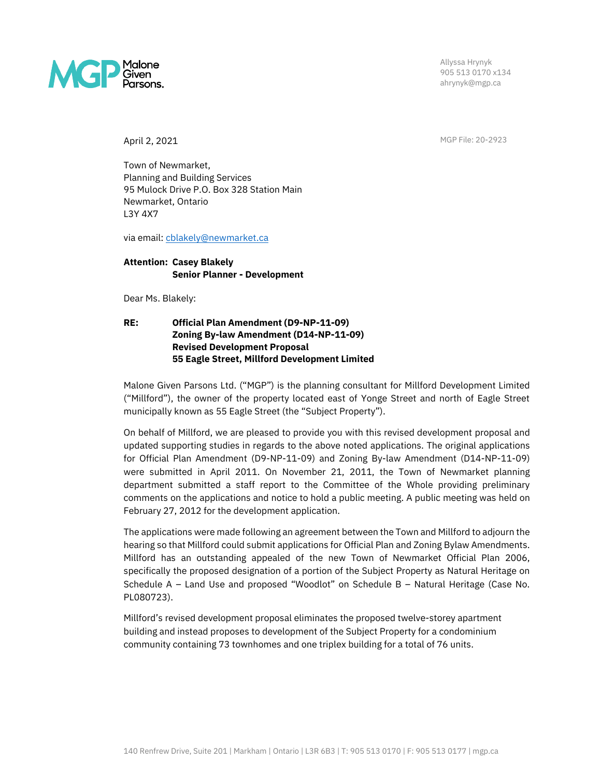

Allyssa Hrynyk 905 513 0170 x134 ahrynyk@mgp.ca

April 2, 2021 MGP File: 20-2923

Town of Newmarket, Planning and Building Services 95 Mulock Drive P.O. Box 328 Station Main Newmarket, Ontario L3Y 4X7

via email: [cblakely@newmarket.ca](mailto:cblakely@newmarket.ca)

## **Attention: Casey Blakely Senior Planner - Development**

Dear Ms. Blakely:

### **RE: Official Plan Amendment (D9-NP-11-09) Zoning By-law Amendment (D14-NP-11-09) Revised Development Proposal 55 Eagle Street, Millford Development Limited**

Malone Given Parsons Ltd. ("MGP") is the planning consultant for Millford Development Limited ("Millford"), the owner of the property located east of Yonge Street and north of Eagle Street municipally known as 55 Eagle Street (the "Subject Property").

On behalf of Millford, we are pleased to provide you with this revised development proposal and updated supporting studies in regards to the above noted applications. The original applications for Official Plan Amendment (D9-NP-11-09) and Zoning By-law Amendment (D14-NP-11-09) were submitted in April 2011. On November 21, 2011, the Town of Newmarket planning department submitted a staff report to the Committee of the Whole providing preliminary comments on the applications and notice to hold a public meeting. A public meeting was held on February 27, 2012 for the development application.

The applications were made following an agreement between the Town and Millford to adjourn the hearing so that Millford could submit applications for Official Plan and Zoning Bylaw Amendments. Millford has an outstanding appealed of the new Town of Newmarket Official Plan 2006, specifically the proposed designation of a portion of the Subject Property as Natural Heritage on Schedule A – Land Use and proposed "Woodlot" on Schedule B – Natural Heritage (Case No. PL080723).

Millford's revised development proposal eliminates the proposed twelve-storey apartment building and instead proposes to development of the Subject Property for a condominium community containing 73 townhomes and one triplex building for a total of 76 units.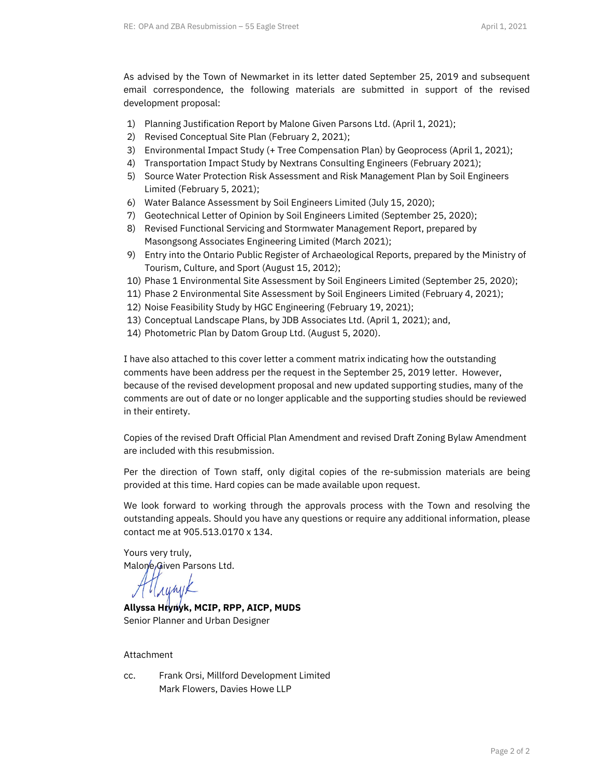As advised by the Town of Newmarket in its letter dated September 25, 2019 and subsequent email correspondence, the following materials are submitted in support of the revised development proposal:

- 1) Planning Justification Report by Malone Given Parsons Ltd. (April 1, 2021);
- 2) Revised Conceptual Site Plan (February 2, 2021);
- 3) Environmental Impact Study (+ Tree Compensation Plan) by Geoprocess (April 1, 2021);
- 4) Transportation Impact Study by Nextrans Consulting Engineers (February 2021);
- 5) Source Water Protection Risk Assessment and Risk Management Plan by Soil Engineers Limited (February 5, 2021);
- 6) Water Balance Assessment by Soil Engineers Limited (July 15, 2020);
- 7) Geotechnical Letter of Opinion by Soil Engineers Limited (September 25, 2020);
- 8) Revised Functional Servicing and Stormwater Management Report, prepared by Masongsong Associates Engineering Limited (March 2021);
- 9) Entry into the Ontario Public Register of Archaeological Reports, prepared by the Ministry of Tourism, Culture, and Sport (August 15, 2012);
- 10) Phase 1 Environmental Site Assessment by Soil Engineers Limited (September 25, 2020);
- 11) Phase 2 Environmental Site Assessment by Soil Engineers Limited (February 4, 2021);
- 12) Noise Feasibility Study by HGC Engineering (February 19, 2021);
- 13) Conceptual Landscape Plans, by JDB Associates Ltd. (April 1, 2021); and,
- 14) Photometric Plan by Datom Group Ltd. (August 5, 2020).

I have also attached to this cover letter a comment matrix indicating how the outstanding comments have been address per the request in the September 25, 2019 letter. However, because of the revised development proposal and new updated supporting studies, many of the comments are out of date or no longer applicable and the supporting studies should be reviewed in their entirety.

Copies of the revised Draft Official Plan Amendment and revised Draft Zoning Bylaw Amendment are included with this resubmission.

Per the direction of Town staff, only digital copies of the re-submission materials are being provided at this time. Hard copies can be made available upon request.

We look forward to working through the approvals process with the Town and resolving the outstanding appeals. Should you have any questions or require any additional information, please contact me at 905.513.0170 x 134.

Yours very truly, Malone Given Parsons Ltd.

rumik

**Allyssa Hrynyk, MCIP, RPP, AICP, MUDS** Senior Planner and Urban Designer

#### Attachment

cc. Frank Orsi, Millford Development Limited Mark Flowers, Davies Howe LLP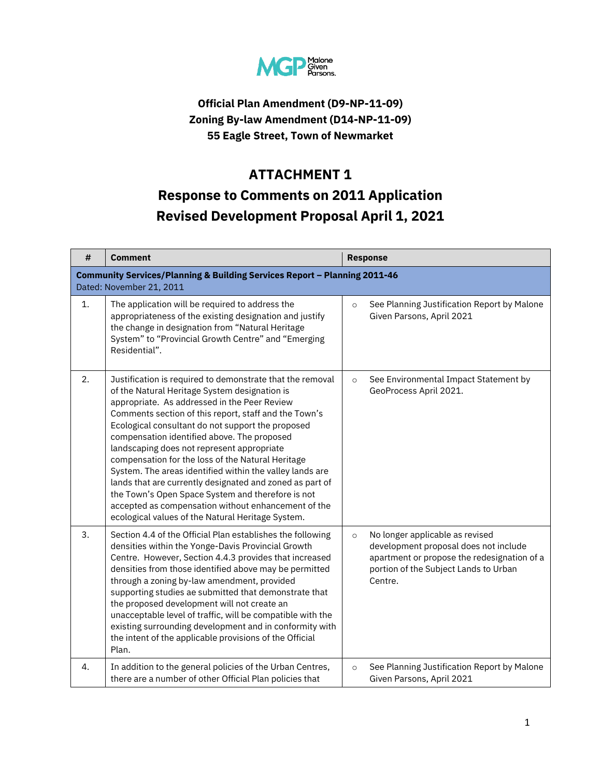

# **Official Plan Amendment (D9-NP-11-09) Zoning By-law Amendment (D14-NP-11-09) 55 Eagle Street, Town of Newmarket**

# **ATTACHMENT 1 Response to Comments on 2011 Application Revised Development Proposal April 1, 2021**

| #  | <b>Comment</b>                                                                                                                                                                                                                                                                                                                                                                                                                                                                                                                                                                                                                                                                                                      |         | <b>Response</b>                                                                                                                                                             |
|----|---------------------------------------------------------------------------------------------------------------------------------------------------------------------------------------------------------------------------------------------------------------------------------------------------------------------------------------------------------------------------------------------------------------------------------------------------------------------------------------------------------------------------------------------------------------------------------------------------------------------------------------------------------------------------------------------------------------------|---------|-----------------------------------------------------------------------------------------------------------------------------------------------------------------------------|
|    | <b>Community Services/Planning &amp; Building Services Report - Planning 2011-46</b><br>Dated: November 21, 2011                                                                                                                                                                                                                                                                                                                                                                                                                                                                                                                                                                                                    |         |                                                                                                                                                                             |
| 1. | The application will be required to address the<br>appropriateness of the existing designation and justify<br>the change in designation from "Natural Heritage<br>System" to "Provincial Growth Centre" and "Emerging<br>Residential".                                                                                                                                                                                                                                                                                                                                                                                                                                                                              | $\circ$ | See Planning Justification Report by Malone<br>Given Parsons, April 2021                                                                                                    |
| 2. | Justification is required to demonstrate that the removal<br>of the Natural Heritage System designation is<br>appropriate. As addressed in the Peer Review<br>Comments section of this report, staff and the Town's<br>Ecological consultant do not support the proposed<br>compensation identified above. The proposed<br>landscaping does not represent appropriate<br>compensation for the loss of the Natural Heritage<br>System. The areas identified within the valley lands are<br>lands that are currently designated and zoned as part of<br>the Town's Open Space System and therefore is not<br>accepted as compensation without enhancement of the<br>ecological values of the Natural Heritage System. | $\circ$ | See Environmental Impact Statement by<br>GeoProcess April 2021.                                                                                                             |
| 3. | Section 4.4 of the Official Plan establishes the following<br>densities within the Yonge-Davis Provincial Growth<br>Centre. However, Section 4.4.3 provides that increased<br>densities from those identified above may be permitted<br>through a zoning by-law amendment, provided<br>supporting studies ae submitted that demonstrate that<br>the proposed development will not create an<br>unacceptable level of traffic, will be compatible with the<br>existing surrounding development and in conformity with<br>the intent of the applicable provisions of the Official<br>Plan.                                                                                                                            | $\circ$ | No longer applicable as revised<br>development proposal does not include<br>apartment or propose the redesignation of a<br>portion of the Subject Lands to Urban<br>Centre. |
| 4. | In addition to the general policies of the Urban Centres,<br>there are a number of other Official Plan policies that                                                                                                                                                                                                                                                                                                                                                                                                                                                                                                                                                                                                | $\circ$ | See Planning Justification Report by Malone<br>Given Parsons, April 2021                                                                                                    |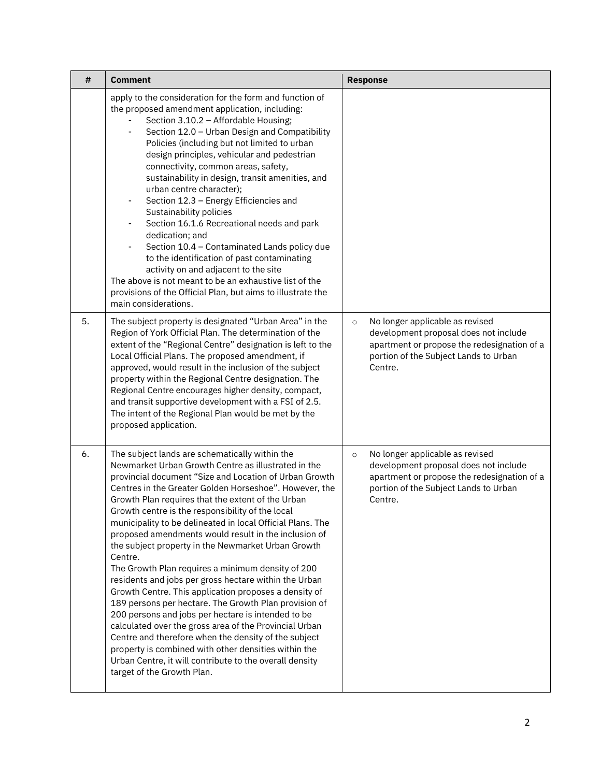| #  | <b>Comment</b>                                                                                                                                                                                                                                                                                                                                                                                                                                                                                                                                                                                                                                                                                                                                                                                                                                                                                                                                                                                                                                                                     | <b>Response</b>                                                                                                                                                                        |
|----|------------------------------------------------------------------------------------------------------------------------------------------------------------------------------------------------------------------------------------------------------------------------------------------------------------------------------------------------------------------------------------------------------------------------------------------------------------------------------------------------------------------------------------------------------------------------------------------------------------------------------------------------------------------------------------------------------------------------------------------------------------------------------------------------------------------------------------------------------------------------------------------------------------------------------------------------------------------------------------------------------------------------------------------------------------------------------------|----------------------------------------------------------------------------------------------------------------------------------------------------------------------------------------|
|    | apply to the consideration for the form and function of<br>the proposed amendment application, including:<br>Section 3.10.2 - Affordable Housing;<br>Section 12.0 - Urban Design and Compatibility<br>$\overline{\phantom{0}}$<br>Policies (including but not limited to urban<br>design principles, vehicular and pedestrian<br>connectivity, common areas, safety,<br>sustainability in design, transit amenities, and<br>urban centre character);<br>Section 12.3 - Energy Efficiencies and<br>-<br>Sustainability policies<br>Section 16.1.6 Recreational needs and park<br>-<br>dedication; and<br>Section 10.4 - Contaminated Lands policy due<br>-<br>to the identification of past contaminating<br>activity on and adjacent to the site<br>The above is not meant to be an exhaustive list of the<br>provisions of the Official Plan, but aims to illustrate the<br>main considerations.                                                                                                                                                                                  |                                                                                                                                                                                        |
| 5. | The subject property is designated "Urban Area" in the<br>Region of York Official Plan. The determination of the<br>extent of the "Regional Centre" designation is left to the<br>Local Official Plans. The proposed amendment, if<br>approved, would result in the inclusion of the subject<br>property within the Regional Centre designation. The<br>Regional Centre encourages higher density, compact,<br>and transit supportive development with a FSI of 2.5.<br>The intent of the Regional Plan would be met by the<br>proposed application.                                                                                                                                                                                                                                                                                                                                                                                                                                                                                                                               | No longer applicable as revised<br>$\circ$<br>development proposal does not include<br>apartment or propose the redesignation of a<br>portion of the Subject Lands to Urban<br>Centre. |
| 6. | The subject lands are schematically within the<br>Newmarket Urban Growth Centre as illustrated in the<br>provincial document "Size and Location of Urban Growth<br>Centres in the Greater Golden Horseshoe". However, the<br>Growth Plan requires that the extent of the Urban<br>Growth centre is the responsibility of the local<br>municipality to be delineated in local Official Plans. The<br>proposed amendments would result in the inclusion of<br>the subject property in the Newmarket Urban Growth<br>Centre.<br>The Growth Plan requires a minimum density of 200<br>residents and jobs per gross hectare within the Urban<br>Growth Centre. This application proposes a density of<br>189 persons per hectare. The Growth Plan provision of<br>200 persons and jobs per hectare is intended to be<br>calculated over the gross area of the Provincial Urban<br>Centre and therefore when the density of the subject<br>property is combined with other densities within the<br>Urban Centre, it will contribute to the overall density<br>target of the Growth Plan. | No longer applicable as revised<br>$\circ$<br>development proposal does not include<br>apartment or propose the redesignation of a<br>portion of the Subject Lands to Urban<br>Centre. |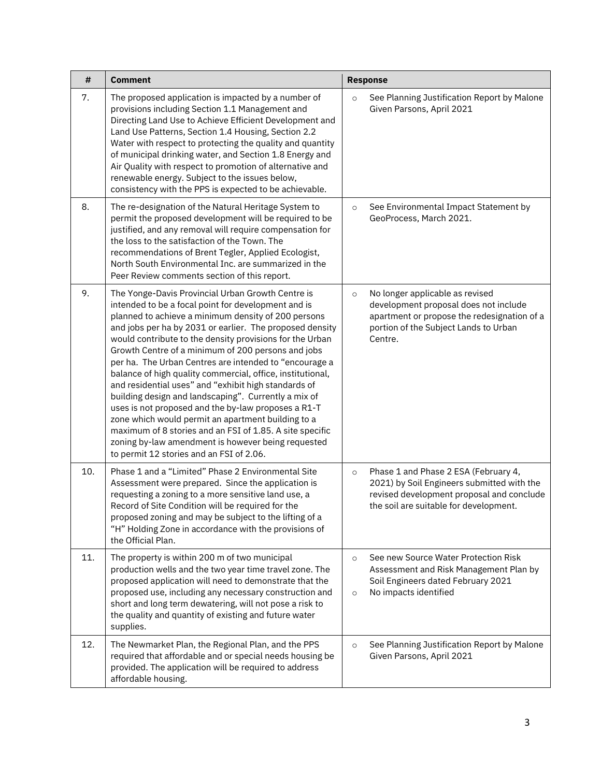| #   | <b>Comment</b>                                                                                                                                                                                                                                                                                                                                                                                                                                                                                                                                                                                                                                                                                                                                                                                                                                                   | <b>Response</b>                                                                                                                                                                        |
|-----|------------------------------------------------------------------------------------------------------------------------------------------------------------------------------------------------------------------------------------------------------------------------------------------------------------------------------------------------------------------------------------------------------------------------------------------------------------------------------------------------------------------------------------------------------------------------------------------------------------------------------------------------------------------------------------------------------------------------------------------------------------------------------------------------------------------------------------------------------------------|----------------------------------------------------------------------------------------------------------------------------------------------------------------------------------------|
| 7.  | The proposed application is impacted by a number of<br>provisions including Section 1.1 Management and<br>Directing Land Use to Achieve Efficient Development and<br>Land Use Patterns, Section 1.4 Housing, Section 2.2<br>Water with respect to protecting the quality and quantity<br>of municipal drinking water, and Section 1.8 Energy and<br>Air Quality with respect to promotion of alternative and<br>renewable energy. Subject to the issues below,<br>consistency with the PPS is expected to be achievable.                                                                                                                                                                                                                                                                                                                                         | See Planning Justification Report by Malone<br>$\circ$<br>Given Parsons, April 2021                                                                                                    |
| 8.  | The re-designation of the Natural Heritage System to<br>permit the proposed development will be required to be<br>justified, and any removal will require compensation for<br>the loss to the satisfaction of the Town. The<br>recommendations of Brent Tegler, Applied Ecologist,<br>North South Environmental Inc. are summarized in the<br>Peer Review comments section of this report.                                                                                                                                                                                                                                                                                                                                                                                                                                                                       | See Environmental Impact Statement by<br>$\circ$<br>GeoProcess, March 2021.                                                                                                            |
| 9.  | The Yonge-Davis Provincial Urban Growth Centre is<br>intended to be a focal point for development and is<br>planned to achieve a minimum density of 200 persons<br>and jobs per ha by 2031 or earlier. The proposed density<br>would contribute to the density provisions for the Urban<br>Growth Centre of a minimum of 200 persons and jobs<br>per ha. The Urban Centres are intended to "encourage a<br>balance of high quality commercial, office, institutional,<br>and residential uses" and "exhibit high standards of<br>building design and landscaping". Currently a mix of<br>uses is not proposed and the by-law proposes a R1-T<br>zone which would permit an apartment building to a<br>maximum of 8 stories and an FSI of 1.85. A site specific<br>zoning by-law amendment is however being requested<br>to permit 12 stories and an FSI of 2.06. | No longer applicable as revised<br>$\circ$<br>development proposal does not include<br>apartment or propose the redesignation of a<br>portion of the Subject Lands to Urban<br>Centre. |
| 10. | Phase 1 and a "Limited" Phase 2 Environmental Site<br>Assessment were prepared. Since the application is<br>requesting a zoning to a more sensitive land use, a<br>Record of Site Condition will be required for the<br>proposed zoning and may be subject to the lifting of a<br>"H" Holding Zone in accordance with the provisions of<br>the Official Plan.                                                                                                                                                                                                                                                                                                                                                                                                                                                                                                    | Phase 1 and Phase 2 ESA (February 4,<br>$\circ$<br>2021) by Soil Engineers submitted with the<br>revised development proposal and conclude<br>the soil are suitable for development.   |
| 11. | The property is within 200 m of two municipal<br>production wells and the two year time travel zone. The<br>proposed application will need to demonstrate that the<br>proposed use, including any necessary construction and<br>short and long term dewatering, will not pose a risk to<br>the quality and quantity of existing and future water<br>supplies.                                                                                                                                                                                                                                                                                                                                                                                                                                                                                                    | See new Source Water Protection Risk<br>$\circ$<br>Assessment and Risk Management Plan by<br>Soil Engineers dated February 2021<br>No impacts identified<br>$\circ$                    |
| 12. | The Newmarket Plan, the Regional Plan, and the PPS<br>required that affordable and or special needs housing be<br>provided. The application will be required to address<br>affordable housing.                                                                                                                                                                                                                                                                                                                                                                                                                                                                                                                                                                                                                                                                   | See Planning Justification Report by Malone<br>$\circ$<br>Given Parsons, April 2021                                                                                                    |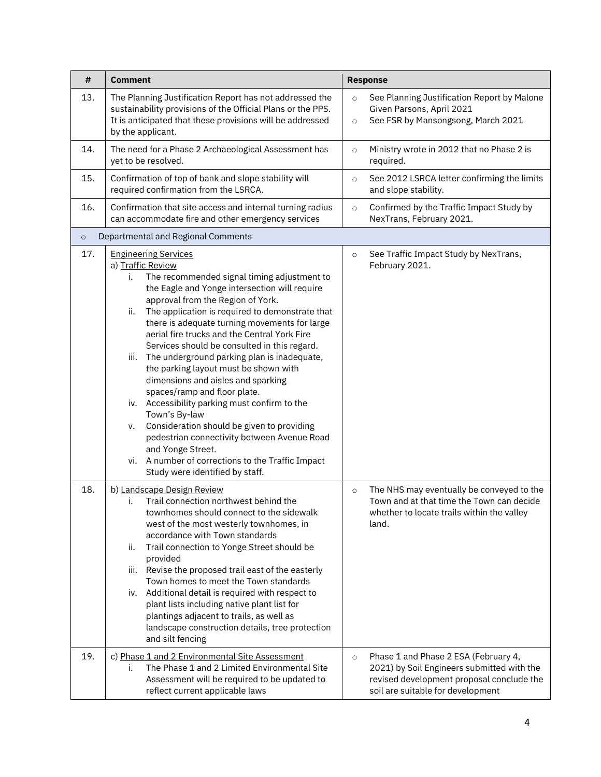| #       | <b>Comment</b>                                                                                                                                                                                                                                                                                                                                                                                                                                                                                                                                                                                                                                                                                                                                                                                                                                                 | <b>Response</b>                                                                                                                                                                 |
|---------|----------------------------------------------------------------------------------------------------------------------------------------------------------------------------------------------------------------------------------------------------------------------------------------------------------------------------------------------------------------------------------------------------------------------------------------------------------------------------------------------------------------------------------------------------------------------------------------------------------------------------------------------------------------------------------------------------------------------------------------------------------------------------------------------------------------------------------------------------------------|---------------------------------------------------------------------------------------------------------------------------------------------------------------------------------|
| 13.     | The Planning Justification Report has not addressed the<br>sustainability provisions of the Official Plans or the PPS.<br>It is anticipated that these provisions will be addressed<br>by the applicant.                                                                                                                                                                                                                                                                                                                                                                                                                                                                                                                                                                                                                                                       | See Planning Justification Report by Malone<br>$\circ$<br>Given Parsons, April 2021<br>See FSR by Mansongsong, March 2021<br>$\circ$                                            |
| 14.     | The need for a Phase 2 Archaeological Assessment has<br>yet to be resolved.                                                                                                                                                                                                                                                                                                                                                                                                                                                                                                                                                                                                                                                                                                                                                                                    | Ministry wrote in 2012 that no Phase 2 is<br>$\circ$<br>required.                                                                                                               |
| 15.     | Confirmation of top of bank and slope stability will<br>required confirmation from the LSRCA.                                                                                                                                                                                                                                                                                                                                                                                                                                                                                                                                                                                                                                                                                                                                                                  | See 2012 LSRCA letter confirming the limits<br>$\circ$<br>and slope stability.                                                                                                  |
| 16.     | Confirmation that site access and internal turning radius<br>can accommodate fire and other emergency services                                                                                                                                                                                                                                                                                                                                                                                                                                                                                                                                                                                                                                                                                                                                                 | Confirmed by the Traffic Impact Study by<br>$\circ$<br>NexTrans, February 2021.                                                                                                 |
| $\circ$ | Departmental and Regional Comments                                                                                                                                                                                                                                                                                                                                                                                                                                                                                                                                                                                                                                                                                                                                                                                                                             |                                                                                                                                                                                 |
| 17.     | <b>Engineering Services</b><br>a) Traffic Review<br>The recommended signal timing adjustment to<br>i.<br>the Eagle and Yonge intersection will require<br>approval from the Region of York.<br>The application is required to demonstrate that<br>ii.<br>there is adequate turning movements for large<br>aerial fire trucks and the Central York Fire<br>Services should be consulted in this regard.<br>The underground parking plan is inadequate,<br>iii.<br>the parking layout must be shown with<br>dimensions and aisles and sparking<br>spaces/ramp and floor plate.<br>iv. Accessibility parking must confirm to the<br>Town's By-law<br>Consideration should be given to providing<br>v.<br>pedestrian connectivity between Avenue Road<br>and Yonge Street.<br>vi. A number of corrections to the Traffic Impact<br>Study were identified by staff. | See Traffic Impact Study by NexTrans,<br>$\circ$<br>February 2021.                                                                                                              |
| 18.     | b) Landscape Design Review<br>Trail connection northwest behind the<br>i.<br>townhomes should connect to the sidewalk<br>west of the most westerly townhomes, in<br>accordance with Town standards<br>Trail connection to Yonge Street should be<br>ii.<br>provided<br>iii. Revise the proposed trail east of the easterly<br>Town homes to meet the Town standards<br>iv. Additional detail is required with respect to<br>plant lists including native plant list for<br>plantings adjacent to trails, as well as<br>landscape construction details, tree protection<br>and silt fencing                                                                                                                                                                                                                                                                     | The NHS may eventually be conveyed to the<br>$\circ$<br>Town and at that time the Town can decide<br>whether to locate trails within the valley<br>land.                        |
| 19.     | c) Phase 1 and 2 Environmental Site Assessment<br>The Phase 1 and 2 Limited Environmental Site<br>i.<br>Assessment will be required to be updated to<br>reflect current applicable laws                                                                                                                                                                                                                                                                                                                                                                                                                                                                                                                                                                                                                                                                        | Phase 1 and Phase 2 ESA (February 4,<br>$\circ$<br>2021) by Soil Engineers submitted with the<br>revised development proposal conclude the<br>soil are suitable for development |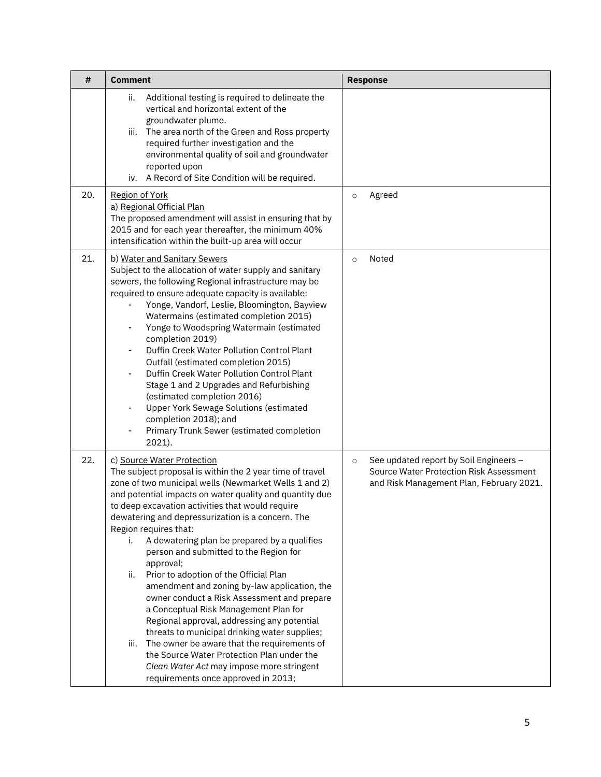| #   | <b>Comment</b>                                                                                                                                                                                                                                                                                                                                                                                                                                                                                                                                                                                                                                                                                                                                                                                                                                                                                                                              | <b>Response</b>                                                                                                                          |
|-----|---------------------------------------------------------------------------------------------------------------------------------------------------------------------------------------------------------------------------------------------------------------------------------------------------------------------------------------------------------------------------------------------------------------------------------------------------------------------------------------------------------------------------------------------------------------------------------------------------------------------------------------------------------------------------------------------------------------------------------------------------------------------------------------------------------------------------------------------------------------------------------------------------------------------------------------------|------------------------------------------------------------------------------------------------------------------------------------------|
|     | Additional testing is required to delineate the<br>ii.<br>vertical and horizontal extent of the<br>groundwater plume.<br>iii. The area north of the Green and Ross property<br>required further investigation and the<br>environmental quality of soil and groundwater<br>reported upon<br>iv. A Record of Site Condition will be required.                                                                                                                                                                                                                                                                                                                                                                                                                                                                                                                                                                                                 |                                                                                                                                          |
| 20. | Region of York<br>a) Regional Official Plan<br>The proposed amendment will assist in ensuring that by<br>2015 and for each year thereafter, the minimum 40%<br>intensification within the built-up area will occur                                                                                                                                                                                                                                                                                                                                                                                                                                                                                                                                                                                                                                                                                                                          | Agreed<br>$\circ$                                                                                                                        |
| 21. | b) Water and Sanitary Sewers<br>Subject to the allocation of water supply and sanitary<br>sewers, the following Regional infrastructure may be<br>required to ensure adequate capacity is available:<br>Yonge, Vandorf, Leslie, Bloomington, Bayview<br>Watermains (estimated completion 2015)<br>Yonge to Woodspring Watermain (estimated<br>completion 2019)<br>Duffin Creek Water Pollution Control Plant<br>-<br>Outfall (estimated completion 2015)<br>Duffin Creek Water Pollution Control Plant<br>Stage 1 and 2 Upgrades and Refurbishing<br>(estimated completion 2016)<br><b>Upper York Sewage Solutions (estimated</b><br>-<br>completion 2018); and<br>Primary Trunk Sewer (estimated completion<br>2021).                                                                                                                                                                                                                      | Noted<br>$\circ$                                                                                                                         |
| 22. | c) Source Water Protection<br>The subject proposal is within the 2 year time of travel<br>zone of two municipal wells (Newmarket Wells 1 and 2)<br>and potential impacts on water quality and quantity due<br>to deep excavation activities that would require<br>dewatering and depressurization is a concern. The<br>Region requires that:<br>A dewatering plan be prepared by a qualifies<br>i.<br>person and submitted to the Region for<br>approval;<br>Prior to adoption of the Official Plan<br>ii.<br>amendment and zoning by-law application, the<br>owner conduct a Risk Assessment and prepare<br>a Conceptual Risk Management Plan for<br>Regional approval, addressing any potential<br>threats to municipal drinking water supplies;<br>The owner be aware that the requirements of<br>iii.<br>the Source Water Protection Plan under the<br>Clean Water Act may impose more stringent<br>requirements once approved in 2013; | See updated report by Soil Engineers -<br>$\circ$<br>Source Water Protection Risk Assessment<br>and Risk Management Plan, February 2021. |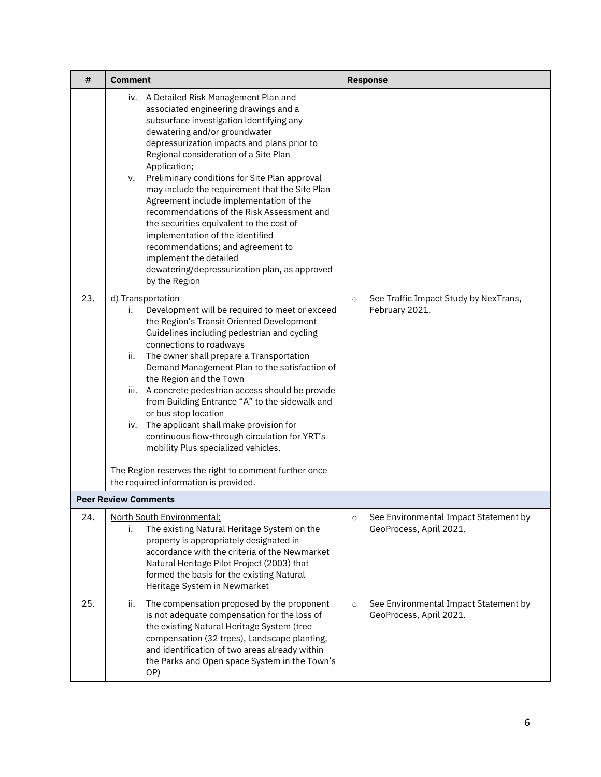| #   | <b>Comment</b>                                                                                                                                                                                                                                                                                                                                                                                                                                                                                                                                                                                                                                                                                           | <b>Response</b>                                                             |
|-----|----------------------------------------------------------------------------------------------------------------------------------------------------------------------------------------------------------------------------------------------------------------------------------------------------------------------------------------------------------------------------------------------------------------------------------------------------------------------------------------------------------------------------------------------------------------------------------------------------------------------------------------------------------------------------------------------------------|-----------------------------------------------------------------------------|
|     | iv. A Detailed Risk Management Plan and<br>associated engineering drawings and a<br>subsurface investigation identifying any<br>dewatering and/or groundwater<br>depressurization impacts and plans prior to<br>Regional consideration of a Site Plan<br>Application;<br>Preliminary conditions for Site Plan approval<br>v.<br>may include the requirement that the Site Plan<br>Agreement include implementation of the<br>recommendations of the Risk Assessment and<br>the securities equivalent to the cost of<br>implementation of the identified<br>recommendations; and agreement to<br>implement the detailed<br>dewatering/depressurization plan, as approved<br>by the Region                 |                                                                             |
| 23. | d) Transportation<br>Development will be required to meet or exceed<br>i.<br>the Region's Transit Oriented Development<br>Guidelines including pedestrian and cycling<br>connections to roadways<br>The owner shall prepare a Transportation<br>ii.<br>Demand Management Plan to the satisfaction of<br>the Region and the Town<br>iii. A concrete pedestrian access should be provide<br>from Building Entrance "A" to the sidewalk and<br>or bus stop location<br>iv. The applicant shall make provision for<br>continuous flow-through circulation for YRT's<br>mobility Plus specialized vehicles.<br>The Region reserves the right to comment further once<br>the required information is provided. | See Traffic Impact Study by NexTrans,<br>$\circ$<br>February 2021.          |
|     | <b>Peer Review Comments</b>                                                                                                                                                                                                                                                                                                                                                                                                                                                                                                                                                                                                                                                                              |                                                                             |
| 24. | North South Environmental:<br>The existing Natural Heritage System on the<br>i.<br>property is appropriately designated in<br>accordance with the criteria of the Newmarket<br>Natural Heritage Pilot Project (2003) that<br>formed the basis for the existing Natural<br>Heritage System in Newmarket                                                                                                                                                                                                                                                                                                                                                                                                   | See Environmental Impact Statement by<br>$\circ$<br>GeoProcess, April 2021. |
| 25. | The compensation proposed by the proponent<br>ii.<br>is not adequate compensation for the loss of<br>the existing Natural Heritage System (tree<br>compensation (32 trees), Landscape planting,<br>and identification of two areas already within<br>the Parks and Open space System in the Town's<br>OP)                                                                                                                                                                                                                                                                                                                                                                                                | See Environmental Impact Statement by<br>$\circ$<br>GeoProcess, April 2021. |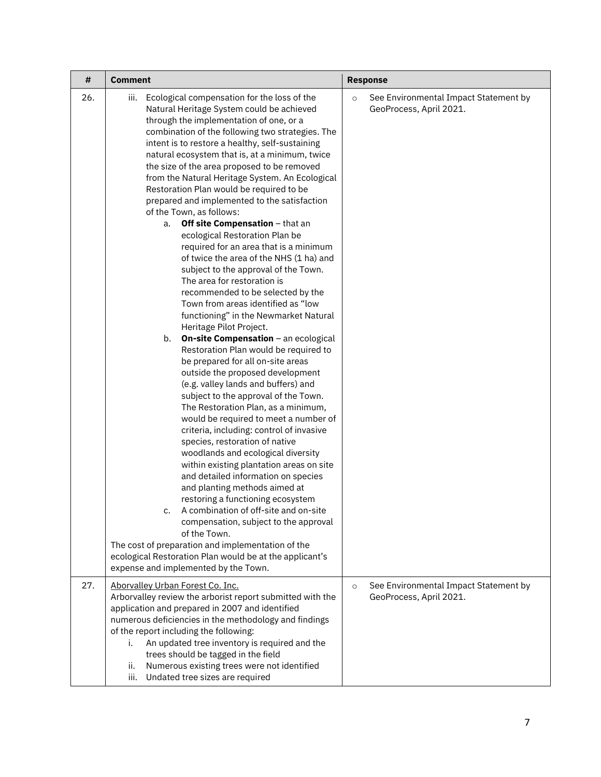| #   | <b>Comment</b>                                                                                                                                                                                                                                                                                                                                                                                                                                                                                                                                                                                                                                                                                                                                                                                                                                                                                                                                                                                                                                                                                                                                                                                                                                                                                                                                                                                                                                                                                                                                                                                                                                                                                                                                                                             | <b>Response</b>                                                             |
|-----|--------------------------------------------------------------------------------------------------------------------------------------------------------------------------------------------------------------------------------------------------------------------------------------------------------------------------------------------------------------------------------------------------------------------------------------------------------------------------------------------------------------------------------------------------------------------------------------------------------------------------------------------------------------------------------------------------------------------------------------------------------------------------------------------------------------------------------------------------------------------------------------------------------------------------------------------------------------------------------------------------------------------------------------------------------------------------------------------------------------------------------------------------------------------------------------------------------------------------------------------------------------------------------------------------------------------------------------------------------------------------------------------------------------------------------------------------------------------------------------------------------------------------------------------------------------------------------------------------------------------------------------------------------------------------------------------------------------------------------------------------------------------------------------------|-----------------------------------------------------------------------------|
| 26. | Ecological compensation for the loss of the<br>iii.<br>Natural Heritage System could be achieved<br>through the implementation of one, or a<br>combination of the following two strategies. The<br>intent is to restore a healthy, self-sustaining<br>natural ecosystem that is, at a minimum, twice<br>the size of the area proposed to be removed<br>from the Natural Heritage System. An Ecological<br>Restoration Plan would be required to be<br>prepared and implemented to the satisfaction<br>of the Town, as follows:<br>Off site Compensation - that an<br>a.<br>ecological Restoration Plan be<br>required for an area that is a minimum<br>of twice the area of the NHS (1 ha) and<br>subject to the approval of the Town.<br>The area for restoration is<br>recommended to be selected by the<br>Town from areas identified as "low<br>functioning" in the Newmarket Natural<br>Heritage Pilot Project.<br>On-site Compensation - an ecological<br>b.<br>Restoration Plan would be required to<br>be prepared for all on-site areas<br>outside the proposed development<br>(e.g. valley lands and buffers) and<br>subject to the approval of the Town.<br>The Restoration Plan, as a minimum,<br>would be required to meet a number of<br>criteria, including: control of invasive<br>species, restoration of native<br>woodlands and ecological diversity<br>within existing plantation areas on site<br>and detailed information on species<br>and planting methods aimed at<br>restoring a functioning ecosystem<br>A combination of off-site and on-site<br>compensation, subject to the approval<br>of the Town.<br>The cost of preparation and implementation of the<br>ecological Restoration Plan would be at the applicant's<br>expense and implemented by the Town. | See Environmental Impact Statement by<br>$\circ$<br>GeoProcess, April 2021. |
| 27. | Aborvalley Urban Forest Co. Inc.<br>Arborvalley review the arborist report submitted with the<br>application and prepared in 2007 and identified<br>numerous deficiencies in the methodology and findings<br>of the report including the following:<br>An updated tree inventory is required and the<br>i.<br>trees should be tagged in the field<br>Numerous existing trees were not identified<br>ii.<br>Undated tree sizes are required<br>iii.                                                                                                                                                                                                                                                                                                                                                                                                                                                                                                                                                                                                                                                                                                                                                                                                                                                                                                                                                                                                                                                                                                                                                                                                                                                                                                                                         | See Environmental Impact Statement by<br>$\circ$<br>GeoProcess, April 2021. |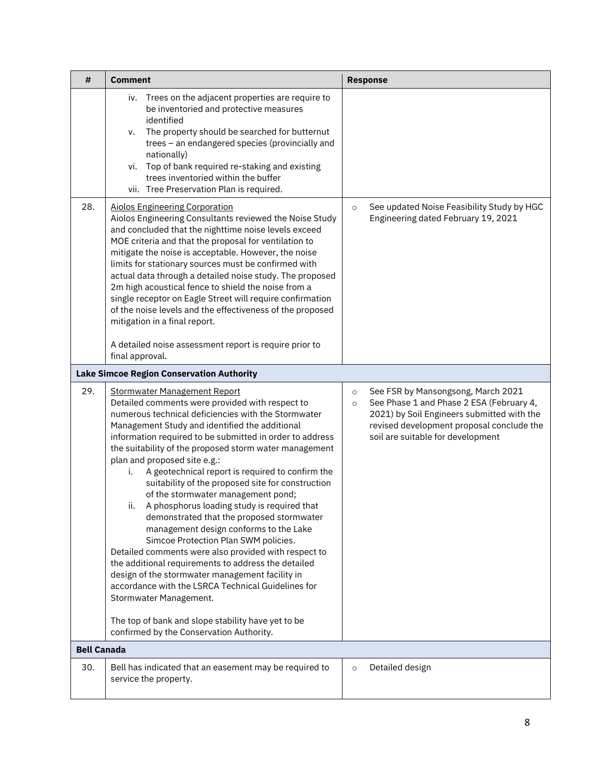| #                  | <b>Comment</b>                                                                                                                                                                                                                                                                                                                                                                                                                                                                                                                                                                                                                                                                                                                                                                                                                                                                                                                                                                                                                                      | <b>Response</b>                                                                                                                                                                                                                      |
|--------------------|-----------------------------------------------------------------------------------------------------------------------------------------------------------------------------------------------------------------------------------------------------------------------------------------------------------------------------------------------------------------------------------------------------------------------------------------------------------------------------------------------------------------------------------------------------------------------------------------------------------------------------------------------------------------------------------------------------------------------------------------------------------------------------------------------------------------------------------------------------------------------------------------------------------------------------------------------------------------------------------------------------------------------------------------------------|--------------------------------------------------------------------------------------------------------------------------------------------------------------------------------------------------------------------------------------|
|                    | Trees on the adjacent properties are require to<br>iv.<br>be inventoried and protective measures<br>identified<br>The property should be searched for butternut<br>v.<br>trees - an endangered species (provincially and<br>nationally)<br>vi. Top of bank required re-staking and existing<br>trees inventoried within the buffer<br>vii. Tree Preservation Plan is required.                                                                                                                                                                                                                                                                                                                                                                                                                                                                                                                                                                                                                                                                      |                                                                                                                                                                                                                                      |
| 28.                | <b>Aiolos Engineering Corporation</b><br>Aiolos Engineering Consultants reviewed the Noise Study<br>and concluded that the nighttime noise levels exceed<br>MOE criteria and that the proposal for ventilation to<br>mitigate the noise is acceptable. However, the noise<br>limits for stationary sources must be confirmed with<br>actual data through a detailed noise study. The proposed<br>2m high acoustical fence to shield the noise from a<br>single receptor on Eagle Street will require confirmation<br>of the noise levels and the effectiveness of the proposed<br>mitigation in a final report.<br>A detailed noise assessment report is require prior to<br>final approval.                                                                                                                                                                                                                                                                                                                                                        | See updated Noise Feasibility Study by HGC<br>$\circ$<br>Engineering dated February 19, 2021                                                                                                                                         |
|                    | <b>Lake Simcoe Region Conservation Authority</b>                                                                                                                                                                                                                                                                                                                                                                                                                                                                                                                                                                                                                                                                                                                                                                                                                                                                                                                                                                                                    |                                                                                                                                                                                                                                      |
| 29.                | <b>Stormwater Management Report</b><br>Detailed comments were provided with respect to<br>numerous technical deficiencies with the Stormwater<br>Management Study and identified the additional<br>information required to be submitted in order to address<br>the suitability of the proposed storm water management<br>plan and proposed site e.g.:<br>A geotechnical report is required to confirm the<br>i.<br>suitability of the proposed site for construction<br>of the stormwater management pond;<br>A phosphorus loading study is required that<br>ii.<br>demonstrated that the proposed stormwater<br>management design conforms to the Lake<br>Simcoe Protection Plan SWM policies.<br>Detailed comments were also provided with respect to<br>the additional requirements to address the detailed<br>design of the stormwater management facility in<br>accordance with the LSRCA Technical Guidelines for<br>Stormwater Management.<br>The top of bank and slope stability have yet to be<br>confirmed by the Conservation Authority. | See FSR by Mansongsong, March 2021<br>$\circ$<br>See Phase 1 and Phase 2 ESA (February 4,<br>$\circ$<br>2021) by Soil Engineers submitted with the<br>revised development proposal conclude the<br>soil are suitable for development |
| <b>Bell Canada</b> |                                                                                                                                                                                                                                                                                                                                                                                                                                                                                                                                                                                                                                                                                                                                                                                                                                                                                                                                                                                                                                                     |                                                                                                                                                                                                                                      |
| 30.                | Bell has indicated that an easement may be required to<br>service the property.                                                                                                                                                                                                                                                                                                                                                                                                                                                                                                                                                                                                                                                                                                                                                                                                                                                                                                                                                                     | Detailed design<br>$\circ$                                                                                                                                                                                                           |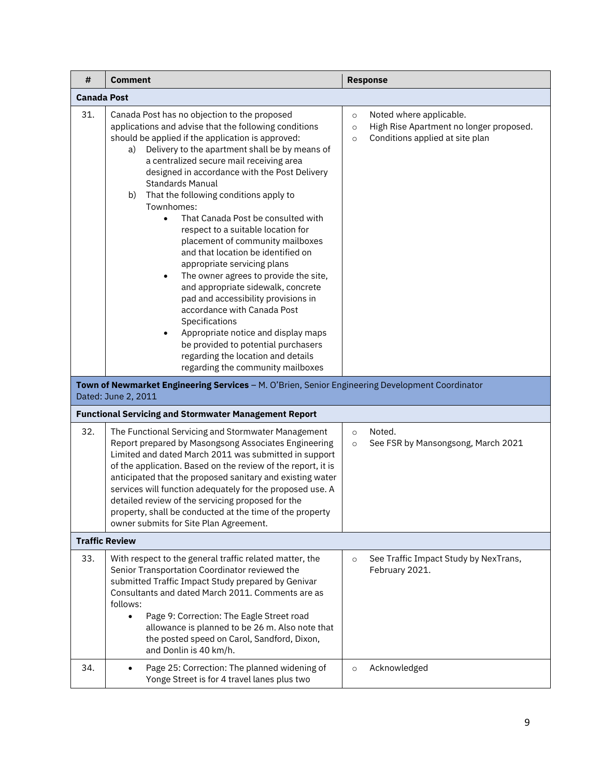| #   | Comment                                                                                                                                                                                                                                                                                                                                                                                                                                                                                                                                                                                                                                                                                                                                                                                                                                                                                                                                                                                                                          | <b>Response</b>                                                                                                                        |  |  |
|-----|----------------------------------------------------------------------------------------------------------------------------------------------------------------------------------------------------------------------------------------------------------------------------------------------------------------------------------------------------------------------------------------------------------------------------------------------------------------------------------------------------------------------------------------------------------------------------------------------------------------------------------------------------------------------------------------------------------------------------------------------------------------------------------------------------------------------------------------------------------------------------------------------------------------------------------------------------------------------------------------------------------------------------------|----------------------------------------------------------------------------------------------------------------------------------------|--|--|
|     | Canada Post                                                                                                                                                                                                                                                                                                                                                                                                                                                                                                                                                                                                                                                                                                                                                                                                                                                                                                                                                                                                                      |                                                                                                                                        |  |  |
| 31. | Canada Post has no objection to the proposed<br>applications and advise that the following conditions<br>should be applied if the application is approved:<br>Delivery to the apartment shall be by means of<br>a)<br>a centralized secure mail receiving area<br>designed in accordance with the Post Delivery<br><b>Standards Manual</b><br>That the following conditions apply to<br>b)<br>Townhomes:<br>That Canada Post be consulted with<br>respect to a suitable location for<br>placement of community mailboxes<br>and that location be identified on<br>appropriate servicing plans<br>The owner agrees to provide the site,<br>and appropriate sidewalk, concrete<br>pad and accessibility provisions in<br>accordance with Canada Post<br>Specifications<br>Appropriate notice and display maps<br>be provided to potential purchasers<br>regarding the location and details<br>regarding the community mailboxes<br>Town of Newmarket Engineering Services - M. O'Brien, Senior Engineering Development Coordinator | Noted where applicable.<br>$\circ$<br>High Rise Apartment no longer proposed.<br>$\circ$<br>Conditions applied at site plan<br>$\circ$ |  |  |
|     | Dated: June 2, 2011<br><b>Functional Servicing and Stormwater Management Report</b>                                                                                                                                                                                                                                                                                                                                                                                                                                                                                                                                                                                                                                                                                                                                                                                                                                                                                                                                              |                                                                                                                                        |  |  |
| 32. | The Functional Servicing and Stormwater Management<br>Report prepared by Masongsong Associates Engineering<br>Limited and dated March 2011 was submitted in support<br>of the application. Based on the review of the report, it is<br>anticipated that the proposed sanitary and existing water<br>services will function adequately for the proposed use. A<br>detailed review of the servicing proposed for the<br>property, shall be conducted at the time of the property<br>owner submits for Site Plan Agreement.                                                                                                                                                                                                                                                                                                                                                                                                                                                                                                         | Noted.<br>$\circ$<br>See FSR by Mansongsong, March 2021<br>$\circ$                                                                     |  |  |
|     | <b>Traffic Review</b>                                                                                                                                                                                                                                                                                                                                                                                                                                                                                                                                                                                                                                                                                                                                                                                                                                                                                                                                                                                                            |                                                                                                                                        |  |  |
| 33. | With respect to the general traffic related matter, the<br>Senior Transportation Coordinator reviewed the<br>submitted Traffic Impact Study prepared by Genivar<br>Consultants and dated March 2011. Comments are as<br>follows:<br>Page 9: Correction: The Eagle Street road<br>$\bullet$<br>allowance is planned to be 26 m. Also note that<br>the posted speed on Carol, Sandford, Dixon,<br>and Donlin is 40 km/h.                                                                                                                                                                                                                                                                                                                                                                                                                                                                                                                                                                                                           | See Traffic Impact Study by NexTrans,<br>$\circ$<br>February 2021.                                                                     |  |  |
| 34. | Page 25: Correction: The planned widening of<br>$\bullet$<br>Yonge Street is for 4 travel lanes plus two                                                                                                                                                                                                                                                                                                                                                                                                                                                                                                                                                                                                                                                                                                                                                                                                                                                                                                                         | Acknowledged<br>$\circ$                                                                                                                |  |  |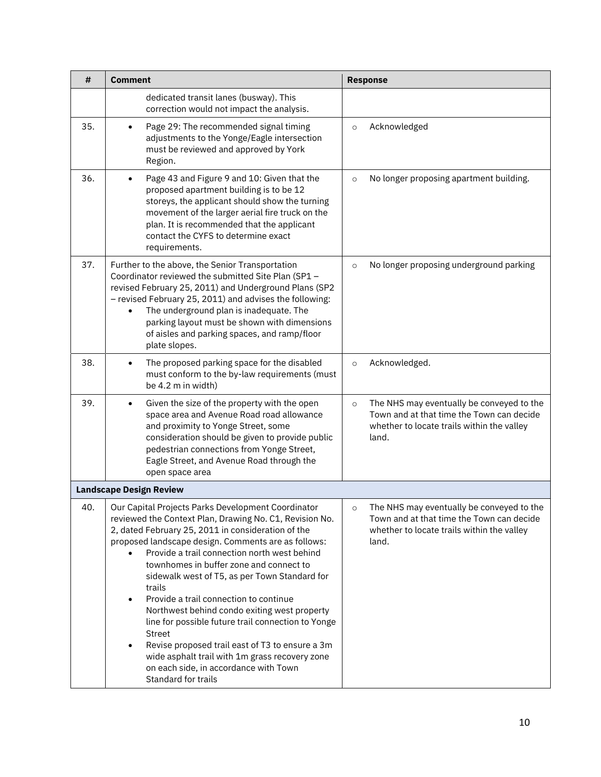| #   | <b>Comment</b>                                                                                                                                                                                                                                                                                                                                                                                                                                                                                                                                                                                                                                                                                                                            | <b>Response</b>                                                                                                                                          |
|-----|-------------------------------------------------------------------------------------------------------------------------------------------------------------------------------------------------------------------------------------------------------------------------------------------------------------------------------------------------------------------------------------------------------------------------------------------------------------------------------------------------------------------------------------------------------------------------------------------------------------------------------------------------------------------------------------------------------------------------------------------|----------------------------------------------------------------------------------------------------------------------------------------------------------|
|     | dedicated transit lanes (busway). This<br>correction would not impact the analysis.                                                                                                                                                                                                                                                                                                                                                                                                                                                                                                                                                                                                                                                       |                                                                                                                                                          |
| 35. | Page 29: The recommended signal timing<br>٠<br>adjustments to the Yonge/Eagle intersection<br>must be reviewed and approved by York<br>Region.                                                                                                                                                                                                                                                                                                                                                                                                                                                                                                                                                                                            | Acknowledged<br>$\circ$                                                                                                                                  |
| 36. | Page 43 and Figure 9 and 10: Given that the<br>$\bullet$<br>proposed apartment building is to be 12<br>storeys, the applicant should show the turning<br>movement of the larger aerial fire truck on the<br>plan. It is recommended that the applicant<br>contact the CYFS to determine exact<br>requirements.                                                                                                                                                                                                                                                                                                                                                                                                                            | No longer proposing apartment building.<br>$\circ$                                                                                                       |
| 37. | Further to the above, the Senior Transportation<br>Coordinator reviewed the submitted Site Plan (SP1 -<br>revised February 25, 2011) and Underground Plans (SP2<br>- revised February 25, 2011) and advises the following:<br>The underground plan is inadequate. The<br>parking layout must be shown with dimensions<br>of aisles and parking spaces, and ramp/floor<br>plate slopes.                                                                                                                                                                                                                                                                                                                                                    | No longer proposing underground parking<br>$\circ$                                                                                                       |
| 38. | The proposed parking space for the disabled<br>$\bullet$<br>must conform to the by-law requirements (must<br>be 4.2 m in width)                                                                                                                                                                                                                                                                                                                                                                                                                                                                                                                                                                                                           | Acknowledged.<br>$\circ$                                                                                                                                 |
| 39. | Given the size of the property with the open<br>$\bullet$<br>space area and Avenue Road road allowance<br>and proximity to Yonge Street, some<br>consideration should be given to provide public<br>pedestrian connections from Yonge Street,<br>Eagle Street, and Avenue Road through the<br>open space area                                                                                                                                                                                                                                                                                                                                                                                                                             | The NHS may eventually be conveyed to the<br>$\circ$<br>Town and at that time the Town can decide<br>whether to locate trails within the valley<br>land. |
|     | <b>Landscape Design Review</b>                                                                                                                                                                                                                                                                                                                                                                                                                                                                                                                                                                                                                                                                                                            |                                                                                                                                                          |
| 40. | Our Capital Projects Parks Development Coordinator<br>reviewed the Context Plan, Drawing No. C1, Revision No.<br>2, dated February 25, 2011 in consideration of the<br>proposed landscape design. Comments are as follows:<br>Provide a trail connection north west behind<br>townhomes in buffer zone and connect to<br>sidewalk west of T5, as per Town Standard for<br>trails<br>Provide a trail connection to continue<br>$\bullet$<br>Northwest behind condo exiting west property<br>line for possible future trail connection to Yonge<br>Street<br>Revise proposed trail east of T3 to ensure a 3m<br>$\bullet$<br>wide asphalt trail with 1m grass recovery zone<br>on each side, in accordance with Town<br>Standard for trails | The NHS may eventually be conveved to the<br>O<br>Town and at that time the Town can decide<br>whether to locate trails within the valley<br>land.       |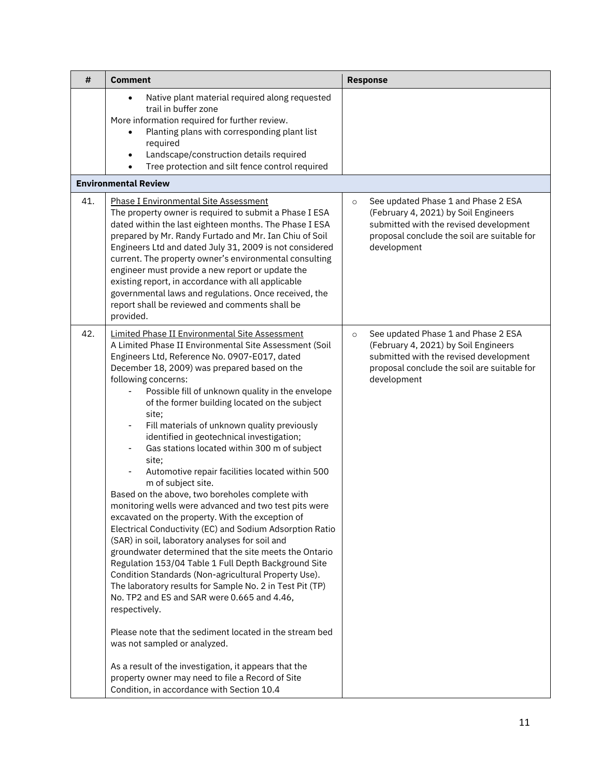| #   | <b>Comment</b>                                                                                                                                                                                                                                                                                                                                                                                                                                                                                                                                                                                                                                                                                                                                                                                                                                                                                                                                                                                                                                                                                                                                                                                                                                                                                                                                                                                                                                                                        | <b>Response</b>                                                                                                                                                                                |
|-----|---------------------------------------------------------------------------------------------------------------------------------------------------------------------------------------------------------------------------------------------------------------------------------------------------------------------------------------------------------------------------------------------------------------------------------------------------------------------------------------------------------------------------------------------------------------------------------------------------------------------------------------------------------------------------------------------------------------------------------------------------------------------------------------------------------------------------------------------------------------------------------------------------------------------------------------------------------------------------------------------------------------------------------------------------------------------------------------------------------------------------------------------------------------------------------------------------------------------------------------------------------------------------------------------------------------------------------------------------------------------------------------------------------------------------------------------------------------------------------------|------------------------------------------------------------------------------------------------------------------------------------------------------------------------------------------------|
|     | Native plant material required along requested<br>$\bullet$<br>trail in buffer zone<br>More information required for further review.<br>Planting plans with corresponding plant list<br>$\bullet$<br>required<br>Landscape/construction details required<br>$\bullet$<br>Tree protection and silt fence control required<br>$\bullet$                                                                                                                                                                                                                                                                                                                                                                                                                                                                                                                                                                                                                                                                                                                                                                                                                                                                                                                                                                                                                                                                                                                                                 |                                                                                                                                                                                                |
|     | <b>Environmental Review</b>                                                                                                                                                                                                                                                                                                                                                                                                                                                                                                                                                                                                                                                                                                                                                                                                                                                                                                                                                                                                                                                                                                                                                                                                                                                                                                                                                                                                                                                           |                                                                                                                                                                                                |
| 41. | <b>Phase I Environmental Site Assessment</b><br>The property owner is required to submit a Phase I ESA<br>dated within the last eighteen months. The Phase I ESA<br>prepared by Mr. Randy Furtado and Mr. Ian Chiu of Soil<br>Engineers Ltd and dated July 31, 2009 is not considered<br>current. The property owner's environmental consulting<br>engineer must provide a new report or update the<br>existing report, in accordance with all applicable<br>governmental laws and regulations. Once received, the<br>report shall be reviewed and comments shall be<br>provided.                                                                                                                                                                                                                                                                                                                                                                                                                                                                                                                                                                                                                                                                                                                                                                                                                                                                                                     | See updated Phase 1 and Phase 2 ESA<br>$\circ$<br>(February 4, 2021) by Soil Engineers<br>submitted with the revised development<br>proposal conclude the soil are suitable for<br>development |
| 42. | Limited Phase II Environmental Site Assessment<br>A Limited Phase II Environmental Site Assessment (Soil<br>Engineers Ltd, Reference No. 0907-E017, dated<br>December 18, 2009) was prepared based on the<br>following concerns:<br>Possible fill of unknown quality in the envelope<br>of the former building located on the subject<br>site;<br>Fill materials of unknown quality previously<br>$\overline{\phantom{0}}$<br>identified in geotechnical investigation;<br>Gas stations located within 300 m of subject<br>$\overline{\phantom{0}}$<br>site:<br>Automotive repair facilities located within 500<br>-<br>m of subject site.<br>Based on the above, two boreholes complete with<br>monitoring wells were advanced and two test pits were<br>excavated on the property. With the exception of<br>Electrical Conductivity (EC) and Sodium Adsorption Ratio<br>(SAR) in soil, laboratory analyses for soil and<br>groundwater determined that the site meets the Ontario<br>Regulation 153/04 Table 1 Full Depth Background Site<br>Condition Standards (Non-agricultural Property Use).<br>The laboratory results for Sample No. 2 in Test Pit (TP)<br>No. TP2 and ES and SAR were 0.665 and 4.46,<br>respectively.<br>Please note that the sediment located in the stream bed<br>was not sampled or analyzed.<br>As a result of the investigation, it appears that the<br>property owner may need to file a Record of Site<br>Condition, in accordance with Section 10.4 | See updated Phase 1 and Phase 2 ESA<br>$\circ$<br>(February 4, 2021) by Soil Engineers<br>submitted with the revised development<br>proposal conclude the soil are suitable for<br>development |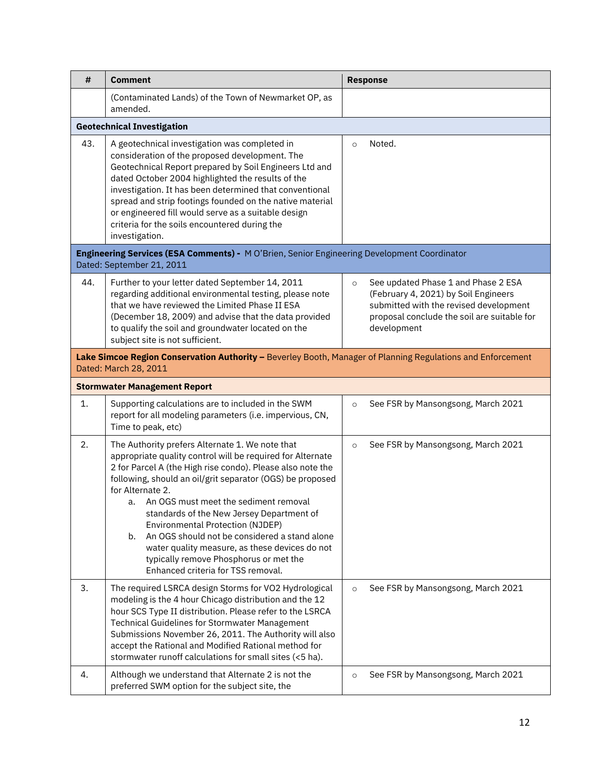| #   | <b>Comment</b>                                                                                                                                                                                                                                                                                                                                                                                                                                                                                                                                                                        | <b>Response</b>                                                                                                                                                                                |
|-----|---------------------------------------------------------------------------------------------------------------------------------------------------------------------------------------------------------------------------------------------------------------------------------------------------------------------------------------------------------------------------------------------------------------------------------------------------------------------------------------------------------------------------------------------------------------------------------------|------------------------------------------------------------------------------------------------------------------------------------------------------------------------------------------------|
|     | (Contaminated Lands) of the Town of Newmarket OP, as<br>amended.                                                                                                                                                                                                                                                                                                                                                                                                                                                                                                                      |                                                                                                                                                                                                |
|     | <b>Geotechnical Investigation</b>                                                                                                                                                                                                                                                                                                                                                                                                                                                                                                                                                     |                                                                                                                                                                                                |
| 43. | A geotechnical investigation was completed in<br>consideration of the proposed development. The<br>Geotechnical Report prepared by Soil Engineers Ltd and<br>dated October 2004 highlighted the results of the<br>investigation. It has been determined that conventional<br>spread and strip footings founded on the native material<br>or engineered fill would serve as a suitable design<br>criteria for the soils encountered during the<br>investigation.                                                                                                                       | Noted.<br>$\circ$                                                                                                                                                                              |
|     | Engineering Services (ESA Comments) - M O'Brien, Senior Engineering Development Coordinator<br>Dated: September 21, 2011                                                                                                                                                                                                                                                                                                                                                                                                                                                              |                                                                                                                                                                                                |
| 44. | Further to your letter dated September 14, 2011<br>regarding additional environmental testing, please note<br>that we have reviewed the Limited Phase II ESA<br>(December 18, 2009) and advise that the data provided<br>to qualify the soil and groundwater located on the<br>subject site is not sufficient.                                                                                                                                                                                                                                                                        | See updated Phase 1 and Phase 2 ESA<br>$\circ$<br>(February 4, 2021) by Soil Engineers<br>submitted with the revised development<br>proposal conclude the soil are suitable for<br>development |
|     | Lake Simcoe Region Conservation Authority - Beverley Booth, Manager of Planning Regulations and Enforcement<br>Dated: March 28, 2011                                                                                                                                                                                                                                                                                                                                                                                                                                                  |                                                                                                                                                                                                |
|     | <b>Stormwater Management Report</b>                                                                                                                                                                                                                                                                                                                                                                                                                                                                                                                                                   |                                                                                                                                                                                                |
| 1.  | Supporting calculations are to included in the SWM<br>report for all modeling parameters (i.e. impervious, CN,<br>Time to peak, etc)                                                                                                                                                                                                                                                                                                                                                                                                                                                  | See FSR by Mansongsong, March 2021<br>$\circ$                                                                                                                                                  |
| 2.  | The Authority prefers Alternate 1. We note that<br>appropriate quality control will be required for Alternate<br>2 for Parcel A (the High rise condo). Please also note the<br>following, should an oil/grit separator (OGS) be proposed<br>for Alternate 2.<br>An OGS must meet the sediment removal<br>a.<br>standards of the New Jersey Department of<br>Environmental Protection (NJDEP)<br>An OGS should not be considered a stand alone<br>b.<br>water quality measure, as these devices do not<br>typically remove Phosphorus or met the<br>Enhanced criteria for TSS removal. | See FSR by Mansongsong, March 2021<br>$\circ$                                                                                                                                                  |
| 3.  | The required LSRCA design Storms for VO2 Hydrological<br>modeling is the 4 hour Chicago distribution and the 12<br>hour SCS Type II distribution. Please refer to the LSRCA<br>Technical Guidelines for Stormwater Management<br>Submissions November 26, 2011. The Authority will also<br>accept the Rational and Modified Rational method for<br>stormwater runoff calculations for small sites (<5 ha).                                                                                                                                                                            | See FSR by Mansongsong, March 2021<br>$\circ$                                                                                                                                                  |
| 4.  | Although we understand that Alternate 2 is not the<br>preferred SWM option for the subject site, the                                                                                                                                                                                                                                                                                                                                                                                                                                                                                  | See FSR by Mansongsong, March 2021<br>$\circ$                                                                                                                                                  |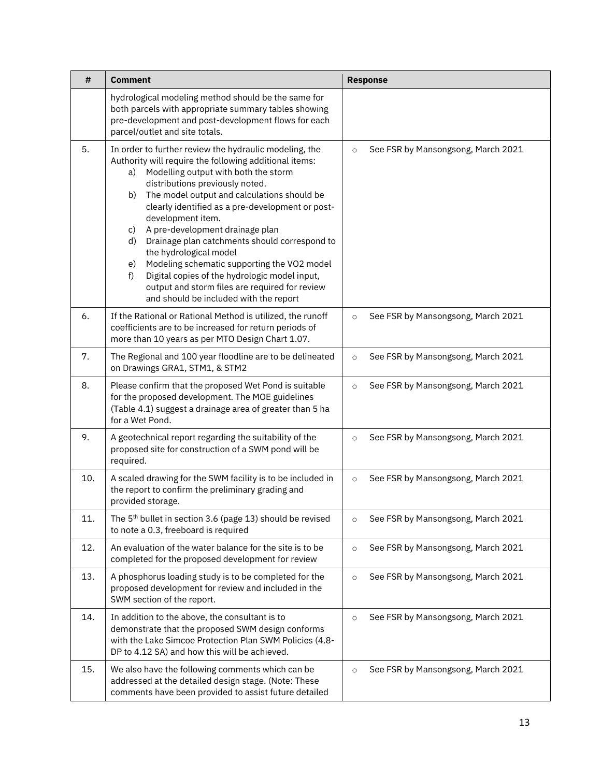| #   | <b>Comment</b>                                                                                                                                                                                                                                                                                                                                                                                                                                                                                                                                                                                                                                                    | <b>Response</b>                               |
|-----|-------------------------------------------------------------------------------------------------------------------------------------------------------------------------------------------------------------------------------------------------------------------------------------------------------------------------------------------------------------------------------------------------------------------------------------------------------------------------------------------------------------------------------------------------------------------------------------------------------------------------------------------------------------------|-----------------------------------------------|
|     | hydrological modeling method should be the same for<br>both parcels with appropriate summary tables showing<br>pre-development and post-development flows for each<br>parcel/outlet and site totals.                                                                                                                                                                                                                                                                                                                                                                                                                                                              |                                               |
| 5.  | In order to further review the hydraulic modeling, the<br>Authority will require the following additional items:<br>Modelling output with both the storm<br>a)<br>distributions previously noted.<br>The model output and calculations should be<br>b)<br>clearly identified as a pre-development or post-<br>development item.<br>A pre-development drainage plan<br>c)<br>Drainage plan catchments should correspond to<br>d)<br>the hydrological model<br>Modeling schematic supporting the VO2 model<br>e)<br>Digital copies of the hydrologic model input,<br>f)<br>output and storm files are required for review<br>and should be included with the report | See FSR by Mansongsong, March 2021<br>$\circ$ |
| 6.  | If the Rational or Rational Method is utilized, the runoff<br>coefficients are to be increased for return periods of<br>more than 10 years as per MTO Design Chart 1.07.                                                                                                                                                                                                                                                                                                                                                                                                                                                                                          | See FSR by Mansongsong, March 2021<br>$\circ$ |
| 7.  | The Regional and 100 year floodline are to be delineated<br>on Drawings GRA1, STM1, & STM2                                                                                                                                                                                                                                                                                                                                                                                                                                                                                                                                                                        | See FSR by Mansongsong, March 2021<br>$\circ$ |
| 8.  | Please confirm that the proposed Wet Pond is suitable<br>for the proposed development. The MOE guidelines<br>(Table 4.1) suggest a drainage area of greater than 5 ha<br>for a Wet Pond.                                                                                                                                                                                                                                                                                                                                                                                                                                                                          | See FSR by Mansongsong, March 2021<br>$\circ$ |
| 9.  | A geotechnical report regarding the suitability of the<br>proposed site for construction of a SWM pond will be<br>required.                                                                                                                                                                                                                                                                                                                                                                                                                                                                                                                                       | See FSR by Mansongsong, March 2021<br>$\circ$ |
| 10. | A scaled drawing for the SWM facility is to be included in<br>the report to confirm the preliminary grading and<br>provided storage.                                                                                                                                                                                                                                                                                                                                                                                                                                                                                                                              | See FSR by Mansongsong, March 2021<br>$\circ$ |
| 11. | The 5 <sup>th</sup> bullet in section 3.6 (page 13) should be revised<br>to note a 0.3, freeboard is required                                                                                                                                                                                                                                                                                                                                                                                                                                                                                                                                                     | See FSR by Mansongsong, March 2021<br>$\circ$ |
| 12. | An evaluation of the water balance for the site is to be<br>completed for the proposed development for review                                                                                                                                                                                                                                                                                                                                                                                                                                                                                                                                                     | See FSR by Mansongsong, March 2021<br>$\circ$ |
| 13. | A phosphorus loading study is to be completed for the<br>proposed development for review and included in the<br>SWM section of the report.                                                                                                                                                                                                                                                                                                                                                                                                                                                                                                                        | See FSR by Mansongsong, March 2021<br>$\circ$ |
| 14. | In addition to the above, the consultant is to<br>demonstrate that the proposed SWM design conforms<br>with the Lake Simcoe Protection Plan SWM Policies (4.8-<br>DP to 4.12 SA) and how this will be achieved.                                                                                                                                                                                                                                                                                                                                                                                                                                                   | See FSR by Mansongsong, March 2021<br>$\circ$ |
| 15. | We also have the following comments which can be<br>addressed at the detailed design stage. (Note: These<br>comments have been provided to assist future detailed                                                                                                                                                                                                                                                                                                                                                                                                                                                                                                 | See FSR by Mansongsong, March 2021<br>$\circ$ |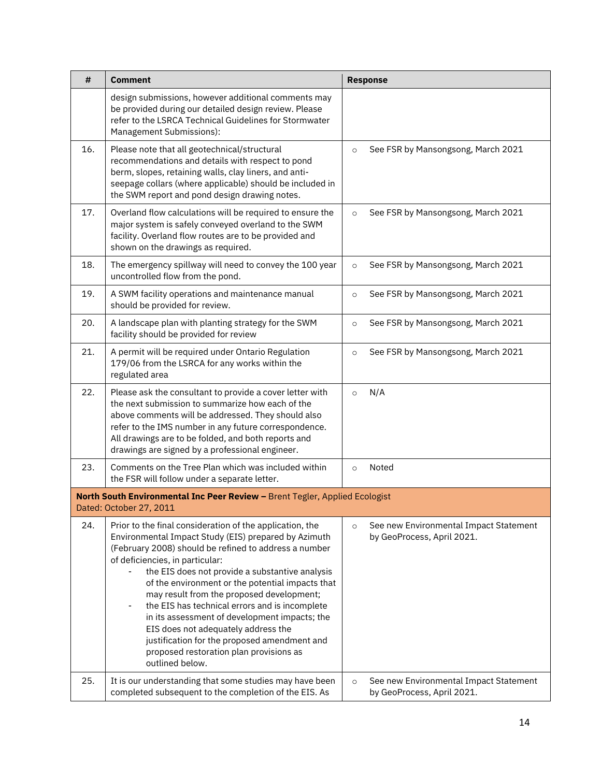| #   | <b>Comment</b>                                                                                                                                                                                                                                                                                                                                                                                                                                                                                                                                                                                                                             | <b>Response</b>                                                                 |
|-----|--------------------------------------------------------------------------------------------------------------------------------------------------------------------------------------------------------------------------------------------------------------------------------------------------------------------------------------------------------------------------------------------------------------------------------------------------------------------------------------------------------------------------------------------------------------------------------------------------------------------------------------------|---------------------------------------------------------------------------------|
|     | design submissions, however additional comments may<br>be provided during our detailed design review. Please<br>refer to the LSRCA Technical Guidelines for Stormwater<br>Management Submissions):                                                                                                                                                                                                                                                                                                                                                                                                                                         |                                                                                 |
| 16. | Please note that all geotechnical/structural<br>recommendations and details with respect to pond<br>berm, slopes, retaining walls, clay liners, and anti-<br>seepage collars (where applicable) should be included in<br>the SWM report and pond design drawing notes.                                                                                                                                                                                                                                                                                                                                                                     | See FSR by Mansongsong, March 2021<br>$\circ$                                   |
| 17. | Overland flow calculations will be required to ensure the<br>major system is safely conveyed overland to the SWM<br>facility. Overland flow routes are to be provided and<br>shown on the drawings as required.                                                                                                                                                                                                                                                                                                                                                                                                                            | See FSR by Mansongsong, March 2021<br>$\circ$                                   |
| 18. | The emergency spillway will need to convey the 100 year<br>uncontrolled flow from the pond.                                                                                                                                                                                                                                                                                                                                                                                                                                                                                                                                                | See FSR by Mansongsong, March 2021<br>$\circ$                                   |
| 19. | A SWM facility operations and maintenance manual<br>should be provided for review.                                                                                                                                                                                                                                                                                                                                                                                                                                                                                                                                                         | See FSR by Mansongsong, March 2021<br>$\circ$                                   |
| 20. | A landscape plan with planting strategy for the SWM<br>facility should be provided for review                                                                                                                                                                                                                                                                                                                                                                                                                                                                                                                                              | See FSR by Mansongsong, March 2021<br>$\circ$                                   |
| 21. | A permit will be required under Ontario Regulation<br>179/06 from the LSRCA for any works within the<br>regulated area                                                                                                                                                                                                                                                                                                                                                                                                                                                                                                                     | See FSR by Mansongsong, March 2021<br>$\circ$                                   |
| 22. | Please ask the consultant to provide a cover letter with<br>the next submission to summarize how each of the<br>above comments will be addressed. They should also<br>refer to the IMS number in any future correspondence.<br>All drawings are to be folded, and both reports and<br>drawings are signed by a professional engineer.                                                                                                                                                                                                                                                                                                      | N/A<br>$\circ$                                                                  |
| 23. | Comments on the Tree Plan which was included within<br>the FSR will follow under a separate letter.                                                                                                                                                                                                                                                                                                                                                                                                                                                                                                                                        | Noted<br>$\circ$                                                                |
|     | North South Environmental Inc Peer Review - Brent Tegler, Applied Ecologist<br>Dated: October 27, 2011                                                                                                                                                                                                                                                                                                                                                                                                                                                                                                                                     |                                                                                 |
| 24. | Prior to the final consideration of the application, the<br>Environmental Impact Study (EIS) prepared by Azimuth<br>(February 2008) should be refined to address a number<br>of deficiencies, in particular:<br>the EIS does not provide a substantive analysis<br>of the environment or the potential impacts that<br>may result from the proposed development;<br>the EIS has technical errors and is incomplete<br>$\blacksquare$<br>in its assessment of development impacts; the<br>EIS does not adequately address the<br>justification for the proposed amendment and<br>proposed restoration plan provisions as<br>outlined below. | See new Environmental Impact Statement<br>$\circ$<br>by GeoProcess, April 2021. |
| 25. | It is our understanding that some studies may have been<br>completed subsequent to the completion of the EIS. As                                                                                                                                                                                                                                                                                                                                                                                                                                                                                                                           | See new Environmental Impact Statement<br>$\circ$<br>by GeoProcess, April 2021. |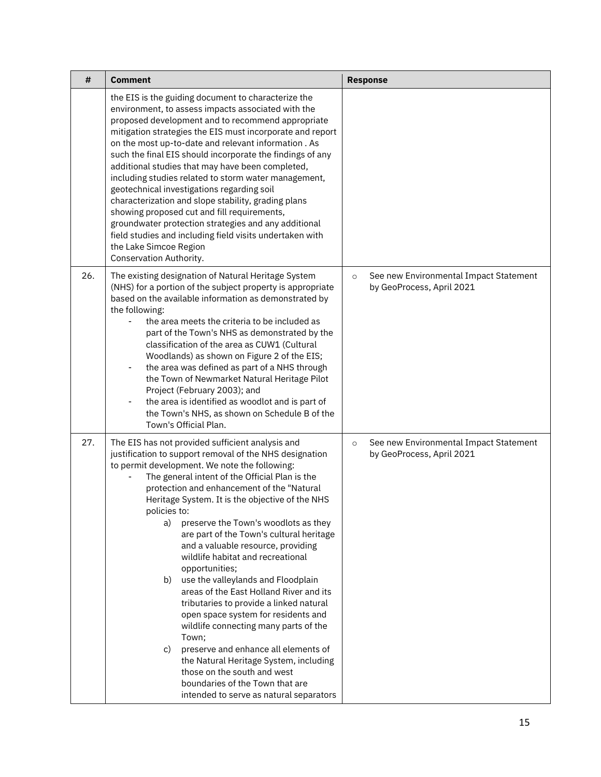| #   | <b>Comment</b>                                                                                                                                                                                                                                                                                                                                                                                                                                                                                                                                                                                                                                                                                                                                                                                                                                                                                                                                      | <b>Response</b>                                                                |
|-----|-----------------------------------------------------------------------------------------------------------------------------------------------------------------------------------------------------------------------------------------------------------------------------------------------------------------------------------------------------------------------------------------------------------------------------------------------------------------------------------------------------------------------------------------------------------------------------------------------------------------------------------------------------------------------------------------------------------------------------------------------------------------------------------------------------------------------------------------------------------------------------------------------------------------------------------------------------|--------------------------------------------------------------------------------|
|     | the EIS is the guiding document to characterize the<br>environment, to assess impacts associated with the<br>proposed development and to recommend appropriate<br>mitigation strategies the EIS must incorporate and report<br>on the most up-to-date and relevant information. As<br>such the final EIS should incorporate the findings of any<br>additional studies that may have been completed,<br>including studies related to storm water management,<br>geotechnical investigations regarding soil<br>characterization and slope stability, grading plans<br>showing proposed cut and fill requirements,<br>groundwater protection strategies and any additional<br>field studies and including field visits undertaken with<br>the Lake Simcoe Region<br>Conservation Authority.                                                                                                                                                            |                                                                                |
| 26. | The existing designation of Natural Heritage System<br>(NHS) for a portion of the subject property is appropriate<br>based on the available information as demonstrated by<br>the following:<br>the area meets the criteria to be included as<br>part of the Town's NHS as demonstrated by the<br>classification of the area as CUW1 (Cultural<br>Woodlands) as shown on Figure 2 of the EIS;<br>the area was defined as part of a NHS through<br>$\qquad \qquad \blacksquare$<br>the Town of Newmarket Natural Heritage Pilot<br>Project (February 2003); and<br>the area is identified as woodlot and is part of<br>-<br>the Town's NHS, as shown on Schedule B of the<br>Town's Official Plan.                                                                                                                                                                                                                                                   | See new Environmental Impact Statement<br>$\circ$<br>by GeoProcess, April 2021 |
| 27. | The EIS has not provided sufficient analysis and<br>justification to support removal of the NHS designation<br>to permit development. We note the following:<br>The general intent of the Official Plan is the<br>protection and enhancement of the "Natural<br>Heritage System. It is the objective of the NHS<br>policies to:<br>preserve the Town's woodlots as they<br>a)<br>are part of the Town's cultural heritage<br>and a valuable resource, providing<br>wildlife habitat and recreational<br>opportunities;<br>b) use the valleylands and Floodplain<br>areas of the East Holland River and its<br>tributaries to provide a linked natural<br>open space system for residents and<br>wildlife connecting many parts of the<br>Town;<br>preserve and enhance all elements of<br>C)<br>the Natural Heritage System, including<br>those on the south and west<br>boundaries of the Town that are<br>intended to serve as natural separators | See new Environmental Impact Statement<br>$\circ$<br>by GeoProcess, April 2021 |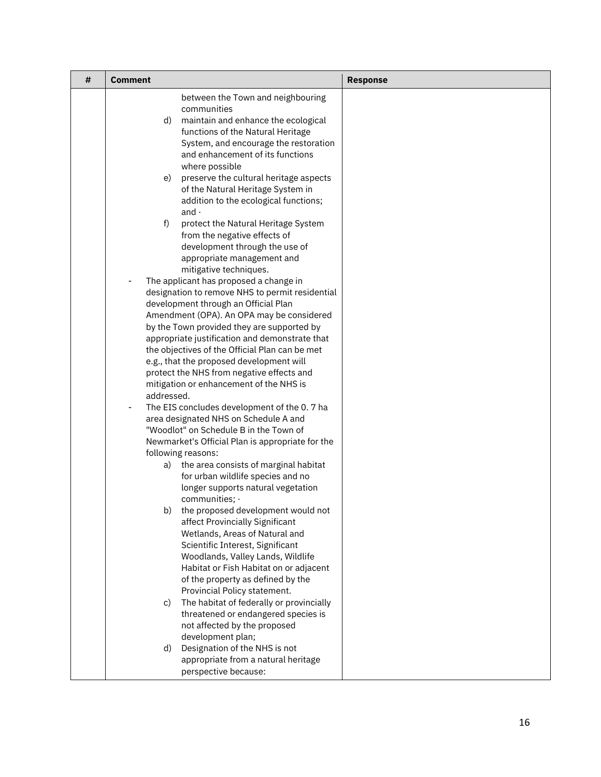| # | <b>Comment</b>                                                                          | <b>Response</b> |
|---|-----------------------------------------------------------------------------------------|-----------------|
|   | between the Town and neighbouring                                                       |                 |
|   | communities                                                                             |                 |
|   | maintain and enhance the ecological<br>d)<br>functions of the Natural Heritage          |                 |
|   | System, and encourage the restoration                                                   |                 |
|   | and enhancement of its functions                                                        |                 |
|   | where possible                                                                          |                 |
|   | preserve the cultural heritage aspects<br>e)                                            |                 |
|   | of the Natural Heritage System in                                                       |                 |
|   | addition to the ecological functions;                                                   |                 |
|   | and $\cdot$<br>f)<br>protect the Natural Heritage System                                |                 |
|   | from the negative effects of                                                            |                 |
|   | development through the use of                                                          |                 |
|   | appropriate management and                                                              |                 |
|   | mitigative techniques.                                                                  |                 |
|   | The applicant has proposed a change in                                                  |                 |
|   | designation to remove NHS to permit residential<br>development through an Official Plan |                 |
|   | Amendment (OPA). An OPA may be considered                                               |                 |
|   | by the Town provided they are supported by                                              |                 |
|   | appropriate justification and demonstrate that                                          |                 |
|   | the objectives of the Official Plan can be met                                          |                 |
|   | e.g., that the proposed development will                                                |                 |
|   | protect the NHS from negative effects and<br>mitigation or enhancement of the NHS is    |                 |
|   | addressed.                                                                              |                 |
|   | The EIS concludes development of the 0.7 ha<br>-                                        |                 |
|   | area designated NHS on Schedule A and                                                   |                 |
|   | "Woodlot" on Schedule B in the Town of                                                  |                 |
|   | Newmarket's Official Plan is appropriate for the<br>following reasons:                  |                 |
|   | a) the area consists of marginal habitat                                                |                 |
|   | for urban wildlife species and no                                                       |                 |
|   | longer supports natural vegetation                                                      |                 |
|   | communities; ·                                                                          |                 |
|   | b) the proposed development would not                                                   |                 |
|   | affect Provincially Significant<br>Wetlands, Areas of Natural and                       |                 |
|   | Scientific Interest, Significant                                                        |                 |
|   | Woodlands, Valley Lands, Wildlife                                                       |                 |
|   | Habitat or Fish Habitat on or adjacent                                                  |                 |
|   | of the property as defined by the                                                       |                 |
|   | Provincial Policy statement.                                                            |                 |
|   | The habitat of federally or provincially<br>C)<br>threatened or endangered species is   |                 |
|   | not affected by the proposed                                                            |                 |
|   | development plan;                                                                       |                 |
|   | Designation of the NHS is not<br>d)                                                     |                 |
|   | appropriate from a natural heritage                                                     |                 |
|   | perspective because:                                                                    |                 |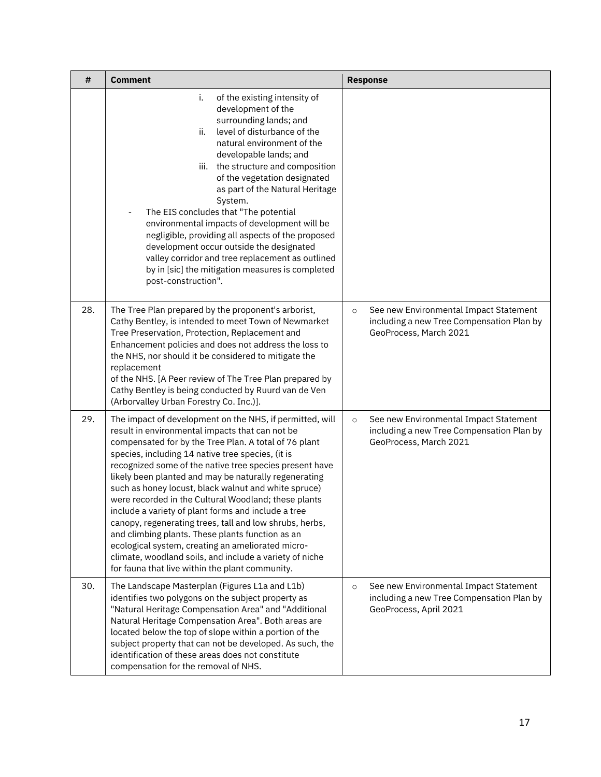| #   | <b>Comment</b>                                                                                                                                                                                                                                                                                                                                                                                                                                                                                                                                                                                                                                                                                                                                                                                         | <b>Response</b>                                                                                                          |
|-----|--------------------------------------------------------------------------------------------------------------------------------------------------------------------------------------------------------------------------------------------------------------------------------------------------------------------------------------------------------------------------------------------------------------------------------------------------------------------------------------------------------------------------------------------------------------------------------------------------------------------------------------------------------------------------------------------------------------------------------------------------------------------------------------------------------|--------------------------------------------------------------------------------------------------------------------------|
|     | i.<br>of the existing intensity of<br>development of the<br>surrounding lands; and<br>level of disturbance of the<br>ii.<br>natural environment of the<br>developable lands; and<br>the structure and composition<br>iii.<br>of the vegetation designated<br>as part of the Natural Heritage<br>System.<br>The EIS concludes that "The potential<br>$\qquad \qquad \blacksquare$<br>environmental impacts of development will be<br>negligible, providing all aspects of the proposed<br>development occur outside the designated<br>valley corridor and tree replacement as outlined<br>by in [sic] the mitigation measures is completed<br>post-construction".                                                                                                                                       |                                                                                                                          |
| 28. | The Tree Plan prepared by the proponent's arborist,<br>Cathy Bentley, is intended to meet Town of Newmarket<br>Tree Preservation, Protection, Replacement and<br>Enhancement policies and does not address the loss to<br>the NHS, nor should it be considered to mitigate the<br>replacement<br>of the NHS. [A Peer review of The Tree Plan prepared by<br>Cathy Bentley is being conducted by Ruurd van de Ven<br>(Arborvalley Urban Forestry Co. Inc.)].                                                                                                                                                                                                                                                                                                                                            | See new Environmental Impact Statement<br>$\circ$<br>including a new Tree Compensation Plan by<br>GeoProcess, March 2021 |
| 29. | The impact of development on the NHS, if permitted, will<br>result in environmental impacts that can not be<br>compensated for by the Tree Plan. A total of 76 plant<br>species, including 14 native tree species, (it is<br>recognized some of the native tree species present have<br>likely been planted and may be naturally regenerating<br>such as honey locust, black walnut and white spruce)<br>were recorded in the Cultural Woodland; these plants<br>include a variety of plant forms and include a tree<br>canopy, regenerating trees, tall and low shrubs, herbs,<br>and climbing plants. These plants function as an<br>ecological system, creating an ameliorated micro-<br>climate, woodland soils, and include a variety of niche<br>for fauna that live within the plant community. | See new Environmental Impact Statement<br>$\circ$<br>including a new Tree Compensation Plan by<br>GeoProcess, March 2021 |
| 30. | The Landscape Masterplan (Figures L1a and L1b)<br>identifies two polygons on the subject property as<br>"Natural Heritage Compensation Area" and "Additional<br>Natural Heritage Compensation Area". Both areas are<br>located below the top of slope within a portion of the<br>subject property that can not be developed. As such, the<br>identification of these areas does not constitute<br>compensation for the removal of NHS.                                                                                                                                                                                                                                                                                                                                                                 | See new Environmental Impact Statement<br>$\circ$<br>including a new Tree Compensation Plan by<br>GeoProcess, April 2021 |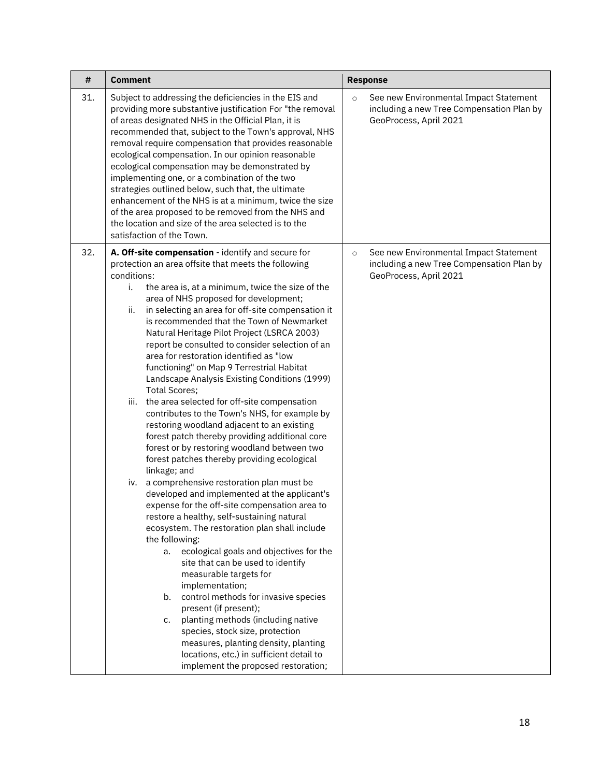| #   | <b>Comment</b>                                                                                                                                                                                                                                                                                                                                                                                                                                                                                                                                                                                                                                                                                                                                                                                                                                                                                                                                                                                                                                                                                                                                                                                                                                                                                                                                                                                                                                                                                                                                                                                                         | <b>Response</b>                                                                                                          |
|-----|------------------------------------------------------------------------------------------------------------------------------------------------------------------------------------------------------------------------------------------------------------------------------------------------------------------------------------------------------------------------------------------------------------------------------------------------------------------------------------------------------------------------------------------------------------------------------------------------------------------------------------------------------------------------------------------------------------------------------------------------------------------------------------------------------------------------------------------------------------------------------------------------------------------------------------------------------------------------------------------------------------------------------------------------------------------------------------------------------------------------------------------------------------------------------------------------------------------------------------------------------------------------------------------------------------------------------------------------------------------------------------------------------------------------------------------------------------------------------------------------------------------------------------------------------------------------------------------------------------------------|--------------------------------------------------------------------------------------------------------------------------|
| 31. | Subject to addressing the deficiencies in the EIS and<br>providing more substantive justification For "the removal<br>of areas designated NHS in the Official Plan, it is<br>recommended that, subject to the Town's approval, NHS<br>removal require compensation that provides reasonable<br>ecological compensation. In our opinion reasonable<br>ecological compensation may be demonstrated by<br>implementing one, or a combination of the two<br>strategies outlined below, such that, the ultimate<br>enhancement of the NHS is at a minimum, twice the size<br>of the area proposed to be removed from the NHS and<br>the location and size of the area selected is to the<br>satisfaction of the Town.                                                                                                                                                                                                                                                                                                                                                                                                                                                                                                                                                                                                                                                                                                                                                                                                                                                                                                       | See new Environmental Impact Statement<br>$\circ$<br>including a new Tree Compensation Plan by<br>GeoProcess, April 2021 |
| 32. | A. Off-site compensation - identify and secure for<br>protection an area offsite that meets the following<br>conditions:<br>i.<br>the area is, at a minimum, twice the size of the<br>area of NHS proposed for development;<br>ii.<br>in selecting an area for off-site compensation it<br>is recommended that the Town of Newmarket<br>Natural Heritage Pilot Project (LSRCA 2003)<br>report be consulted to consider selection of an<br>area for restoration identified as "low<br>functioning" on Map 9 Terrestrial Habitat<br>Landscape Analysis Existing Conditions (1999)<br><b>Total Scores;</b><br>iii.<br>the area selected for off-site compensation<br>contributes to the Town's NHS, for example by<br>restoring woodland adjacent to an existing<br>forest patch thereby providing additional core<br>forest or by restoring woodland between two<br>forest patches thereby providing ecological<br>linkage; and<br>a comprehensive restoration plan must be<br>iv.<br>developed and implemented at the applicant's<br>expense for the off-site compensation area to<br>restore a healthy, self-sustaining natural<br>ecosystem. The restoration plan shall include<br>the following:<br>ecological goals and objectives for the<br>a.<br>site that can be used to identify<br>measurable targets for<br>implementation;<br>control methods for invasive species<br>b.<br>present (if present);<br>planting methods (including native<br>c.<br>species, stock size, protection<br>measures, planting density, planting<br>locations, etc.) in sufficient detail to<br>implement the proposed restoration; | See new Environmental Impact Statement<br>$\circ$<br>including a new Tree Compensation Plan by<br>GeoProcess, April 2021 |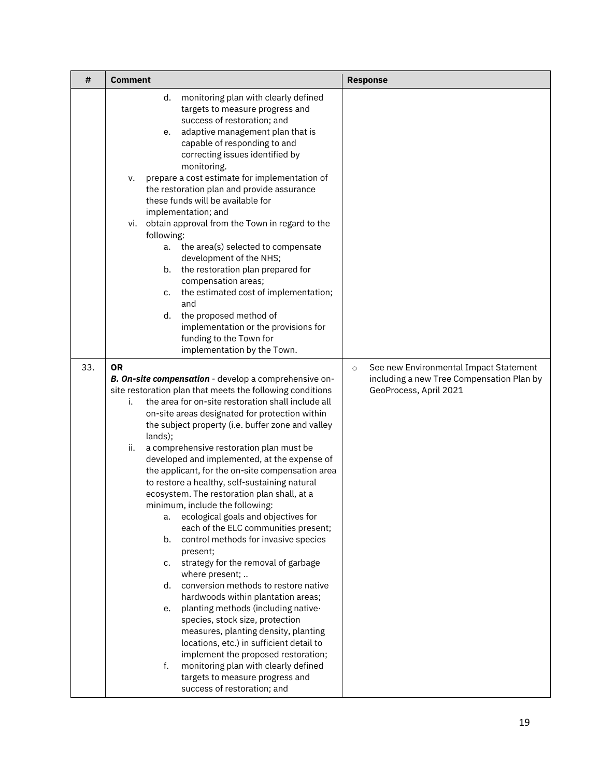| #   | <b>Comment</b>                                                                                                                                                                                                                                                                                                                                                                                                                                                                                                                                                                                                                                                                                                                                                                                                                                                                                                                                                                                                                                                                                                                                                                                                                       | <b>Response</b>                                                                                                          |
|-----|--------------------------------------------------------------------------------------------------------------------------------------------------------------------------------------------------------------------------------------------------------------------------------------------------------------------------------------------------------------------------------------------------------------------------------------------------------------------------------------------------------------------------------------------------------------------------------------------------------------------------------------------------------------------------------------------------------------------------------------------------------------------------------------------------------------------------------------------------------------------------------------------------------------------------------------------------------------------------------------------------------------------------------------------------------------------------------------------------------------------------------------------------------------------------------------------------------------------------------------|--------------------------------------------------------------------------------------------------------------------------|
|     | monitoring plan with clearly defined<br>d.<br>targets to measure progress and<br>success of restoration; and<br>adaptive management plan that is<br>e.<br>capable of responding to and<br>correcting issues identified by<br>monitoring.<br>prepare a cost estimate for implementation of<br>v.<br>the restoration plan and provide assurance<br>these funds will be available for<br>implementation; and<br>obtain approval from the Town in regard to the<br>vi.<br>following:<br>the area(s) selected to compensate<br>a.<br>development of the NHS;<br>b. the restoration plan prepared for<br>compensation areas;<br>the estimated cost of implementation;<br>c.<br>and<br>the proposed method of<br>d.<br>implementation or the provisions for<br>funding to the Town for<br>implementation by the Town.                                                                                                                                                                                                                                                                                                                                                                                                                       |                                                                                                                          |
| 33. | <b>OR</b><br>B. On-site compensation - develop a comprehensive on-<br>site restoration plan that meets the following conditions<br>the area for on-site restoration shall include all<br>i.<br>on-site areas designated for protection within<br>the subject property (i.e. buffer zone and valley<br>lands);<br>a comprehensive restoration plan must be<br>ii.<br>developed and implemented, at the expense of<br>the applicant, for the on-site compensation area<br>to restore a healthy, self-sustaining natural<br>ecosystem. The restoration plan shall, at a<br>minimum, include the following:<br>ecological goals and objectives for<br>a.<br>each of the ELC communities present;<br>control methods for invasive species<br>b.<br>present;<br>strategy for the removal of garbage<br>C.<br>where present;<br>conversion methods to restore native<br>d.<br>hardwoods within plantation areas;<br>planting methods (including native-<br>e.<br>species, stock size, protection<br>measures, planting density, planting<br>locations, etc.) in sufficient detail to<br>implement the proposed restoration;<br>monitoring plan with clearly defined<br>f.<br>targets to measure progress and<br>success of restoration; and | See new Environmental Impact Statement<br>$\circ$<br>including a new Tree Compensation Plan by<br>GeoProcess, April 2021 |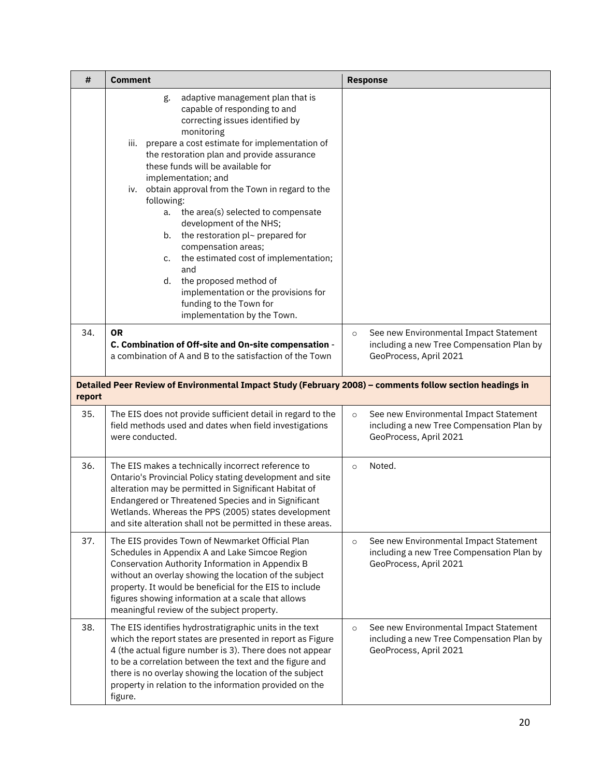| #      | <b>Comment</b>                                                                                                                                                                                                                                                                                                                                                                                                                                                                                                                                                                                                                                                                                    | <b>Response</b>                                                                                                          |
|--------|---------------------------------------------------------------------------------------------------------------------------------------------------------------------------------------------------------------------------------------------------------------------------------------------------------------------------------------------------------------------------------------------------------------------------------------------------------------------------------------------------------------------------------------------------------------------------------------------------------------------------------------------------------------------------------------------------|--------------------------------------------------------------------------------------------------------------------------|
|        | adaptive management plan that is<br>g.<br>capable of responding to and<br>correcting issues identified by<br>monitoring<br>prepare a cost estimate for implementation of<br>iii.<br>the restoration plan and provide assurance<br>these funds will be available for<br>implementation; and<br>obtain approval from the Town in regard to the<br>iv.<br>following:<br>the area(s) selected to compensate<br>a.<br>development of the NHS;<br>the restoration pl~ prepared for<br>b.<br>compensation areas;<br>the estimated cost of implementation;<br>c.<br>and<br>the proposed method of<br>d.<br>implementation or the provisions for<br>funding to the Town for<br>implementation by the Town. |                                                                                                                          |
| 34.    | <b>OR</b><br>C. Combination of Off-site and On-site compensation -<br>a combination of A and B to the satisfaction of the Town                                                                                                                                                                                                                                                                                                                                                                                                                                                                                                                                                                    | See new Environmental Impact Statement<br>$\circ$<br>including a new Tree Compensation Plan by<br>GeoProcess, April 2021 |
| report | Detailed Peer Review of Environmental Impact Study (February 2008) - comments follow section headings in                                                                                                                                                                                                                                                                                                                                                                                                                                                                                                                                                                                          |                                                                                                                          |
| 35.    | The EIS does not provide sufficient detail in regard to the<br>field methods used and dates when field investigations<br>were conducted.                                                                                                                                                                                                                                                                                                                                                                                                                                                                                                                                                          | See new Environmental Impact Statement<br>$\circ$<br>including a new Tree Compensation Plan by<br>GeoProcess, April 2021 |
| 36.    | The EIS makes a technically incorrect reference to<br>Ontario's Provincial Policy stating development and site<br>alteration may be permitted in Significant Habitat of<br>Endangered or Threatened Species and in Significant<br>Wetlands. Whereas the PPS (2005) states development<br>and site alteration shall not be permitted in these areas.                                                                                                                                                                                                                                                                                                                                               | Noted.<br>$\circ$                                                                                                        |
| 37.    | The EIS provides Town of Newmarket Official Plan<br>Schedules in Appendix A and Lake Simcoe Region<br>Conservation Authority Information in Appendix B<br>without an overlay showing the location of the subject<br>property. It would be beneficial for the EIS to include<br>figures showing information at a scale that allows<br>meaningful review of the subject property.                                                                                                                                                                                                                                                                                                                   | See new Environmental Impact Statement<br>$\circ$<br>including a new Tree Compensation Plan by<br>GeoProcess, April 2021 |
| 38.    | The EIS identifies hydrostratigraphic units in the text<br>which the report states are presented in report as Figure<br>4 (the actual figure number is 3). There does not appear<br>to be a correlation between the text and the figure and<br>there is no overlay showing the location of the subject<br>property in relation to the information provided on the<br>figure.                                                                                                                                                                                                                                                                                                                      | See new Environmental Impact Statement<br>$\circ$<br>including a new Tree Compensation Plan by<br>GeoProcess, April 2021 |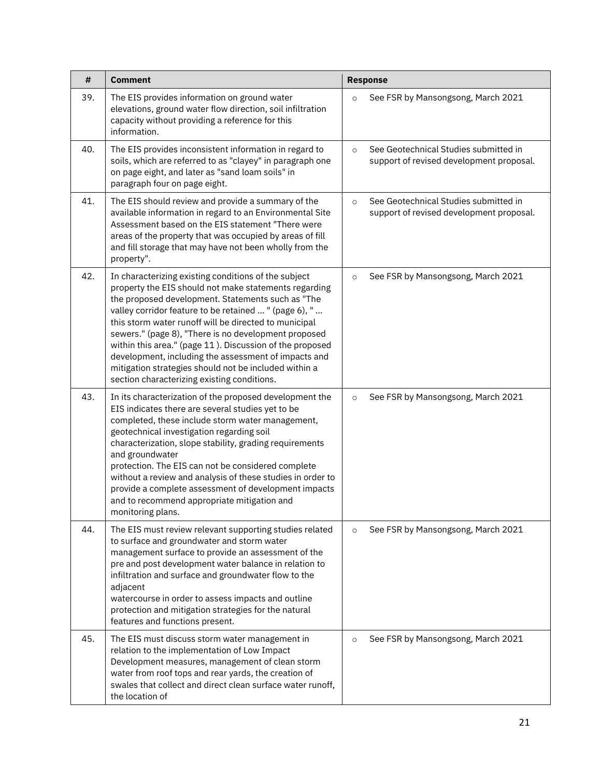| #   | <b>Comment</b>                                                                                                                                                                                                                                                                                                                                                                                                                                                                                                                                                           | <b>Response</b>                                                                              |
|-----|--------------------------------------------------------------------------------------------------------------------------------------------------------------------------------------------------------------------------------------------------------------------------------------------------------------------------------------------------------------------------------------------------------------------------------------------------------------------------------------------------------------------------------------------------------------------------|----------------------------------------------------------------------------------------------|
| 39. | The EIS provides information on ground water<br>elevations, ground water flow direction, soil infiltration<br>capacity without providing a reference for this<br>information.                                                                                                                                                                                                                                                                                                                                                                                            | See FSR by Mansongsong, March 2021<br>$\circ$                                                |
| 40. | The EIS provides inconsistent information in regard to<br>soils, which are referred to as "clayey" in paragraph one<br>on page eight, and later as "sand loam soils" in<br>paragraph four on page eight.                                                                                                                                                                                                                                                                                                                                                                 | See Geotechnical Studies submitted in<br>$\circ$<br>support of revised development proposal. |
| 41. | The EIS should review and provide a summary of the<br>available information in regard to an Environmental Site<br>Assessment based on the EIS statement "There were<br>areas of the property that was occupied by areas of fill<br>and fill storage that may have not been wholly from the<br>property".                                                                                                                                                                                                                                                                 | See Geotechnical Studies submitted in<br>$\circ$<br>support of revised development proposal. |
| 42. | In characterizing existing conditions of the subject<br>property the EIS should not make statements regarding<br>the proposed development. Statements such as "The<br>valley corridor feature to be retained  " (page 6), "<br>this storm water runoff will be directed to municipal<br>sewers." (page 8), "There is no development proposed<br>within this area." (page 11). Discussion of the proposed<br>development, including the assessment of impacts and<br>mitigation strategies should not be included within a<br>section characterizing existing conditions. | See FSR by Mansongsong, March 2021<br>$\circ$                                                |
| 43. | In its characterization of the proposed development the<br>EIS indicates there are several studies yet to be<br>completed, these include storm water management,<br>geotechnical investigation regarding soil<br>characterization, slope stability, grading requirements<br>and groundwater<br>protection. The EIS can not be considered complete<br>without a review and analysis of these studies in order to<br>provide a complete assessment of development impacts<br>and to recommend appropriate mitigation and<br>monitoring plans.                              | See FSR by Mansongsong, March 2021<br>$\circ$                                                |
| 44. | The EIS must review relevant supporting studies related<br>to surface and groundwater and storm water<br>management surface to provide an assessment of the<br>pre and post development water balance in relation to<br>infiltration and surface and groundwater flow to the<br>adjacent<br>watercourse in order to assess impacts and outline<br>protection and mitigation strategies for the natural<br>features and functions present.                                                                                                                                | See FSR by Mansongsong, March 2021<br>$\circ$                                                |
| 45. | The EIS must discuss storm water management in<br>relation to the implementation of Low Impact<br>Development measures, management of clean storm<br>water from roof tops and rear yards, the creation of<br>swales that collect and direct clean surface water runoff,<br>the location of                                                                                                                                                                                                                                                                               | See FSR by Mansongsong, March 2021<br>$\circ$                                                |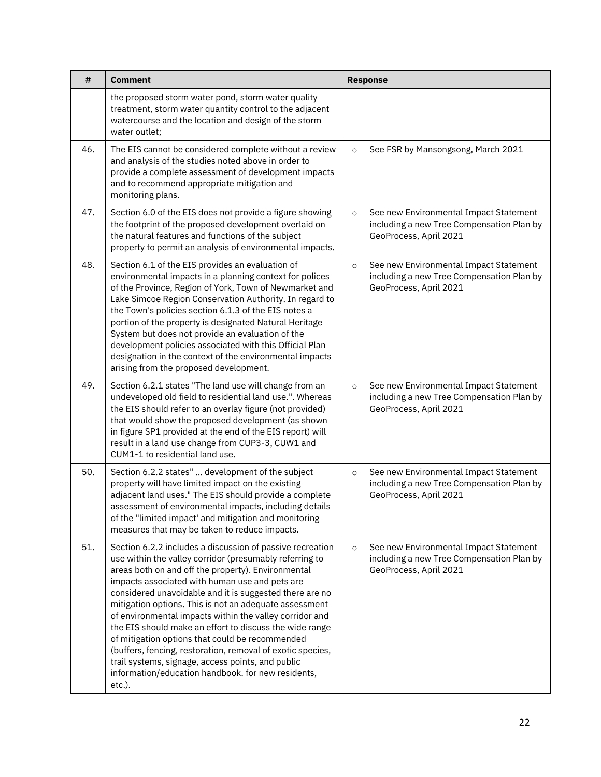| #   | <b>Comment</b>                                                                                                                                                                                                                                                                                                                                                                                                                                                                                                                                                                                                                                                                                                | <b>Response</b>                                                                                                          |
|-----|---------------------------------------------------------------------------------------------------------------------------------------------------------------------------------------------------------------------------------------------------------------------------------------------------------------------------------------------------------------------------------------------------------------------------------------------------------------------------------------------------------------------------------------------------------------------------------------------------------------------------------------------------------------------------------------------------------------|--------------------------------------------------------------------------------------------------------------------------|
|     | the proposed storm water pond, storm water quality<br>treatment, storm water quantity control to the adjacent<br>watercourse and the location and design of the storm<br>water outlet:                                                                                                                                                                                                                                                                                                                                                                                                                                                                                                                        |                                                                                                                          |
| 46. | The EIS cannot be considered complete without a review<br>and analysis of the studies noted above in order to<br>provide a complete assessment of development impacts<br>and to recommend appropriate mitigation and<br>monitoring plans.                                                                                                                                                                                                                                                                                                                                                                                                                                                                     | See FSR by Mansongsong, March 2021<br>$\circ$                                                                            |
| 47. | Section 6.0 of the EIS does not provide a figure showing<br>the footprint of the proposed development overlaid on<br>the natural features and functions of the subject<br>property to permit an analysis of environmental impacts.                                                                                                                                                                                                                                                                                                                                                                                                                                                                            | See new Environmental Impact Statement<br>$\circ$<br>including a new Tree Compensation Plan by<br>GeoProcess, April 2021 |
| 48. | Section 6.1 of the EIS provides an evaluation of<br>environmental impacts in a planning context for polices<br>of the Province, Region of York, Town of Newmarket and<br>Lake Simcoe Region Conservation Authority. In regard to<br>the Town's policies section 6.1.3 of the EIS notes a<br>portion of the property is designated Natural Heritage<br>System but does not provide an evaluation of the<br>development policies associated with this Official Plan<br>designation in the context of the environmental impacts<br>arising from the proposed development.                                                                                                                                        | See new Environmental Impact Statement<br>$\circ$<br>including a new Tree Compensation Plan by<br>GeoProcess, April 2021 |
| 49. | Section 6.2.1 states "The land use will change from an<br>undeveloped old field to residential land use.". Whereas<br>the EIS should refer to an overlay figure (not provided)<br>that would show the proposed development (as shown<br>in figure SP1 provided at the end of the EIS report) will<br>result in a land use change from CUP3-3, CUW1 and<br>CUM1-1 to residential land use.                                                                                                                                                                                                                                                                                                                     | See new Environmental Impact Statement<br>$\circ$<br>including a new Tree Compensation Plan by<br>GeoProcess, April 2021 |
| 50. | Section 6.2.2 states"  development of the subject<br>property will have limited impact on the existing<br>adjacent land uses." The EIS should provide a complete<br>assessment of environmental impacts, including details<br>of the "limited impact' and mitigation and monitoring<br>measures that may be taken to reduce impacts.                                                                                                                                                                                                                                                                                                                                                                          | See new Environmental Impact Statement<br>$\circ$<br>including a new Tree Compensation Plan by<br>GeoProcess, April 2021 |
| 51. | Section 6.2.2 includes a discussion of passive recreation<br>use within the valley corridor (presumably referring to<br>areas both on and off the property). Environmental<br>impacts associated with human use and pets are<br>considered unavoidable and it is suggested there are no<br>mitigation options. This is not an adequate assessment<br>of environmental impacts within the valley corridor and<br>the EIS should make an effort to discuss the wide range<br>of mitigation options that could be recommended<br>(buffers, fencing, restoration, removal of exotic species,<br>trail systems, signage, access points, and public<br>information/education handbook. for new residents,<br>etc.). | See new Environmental Impact Statement<br>$\circ$<br>including a new Tree Compensation Plan by<br>GeoProcess, April 2021 |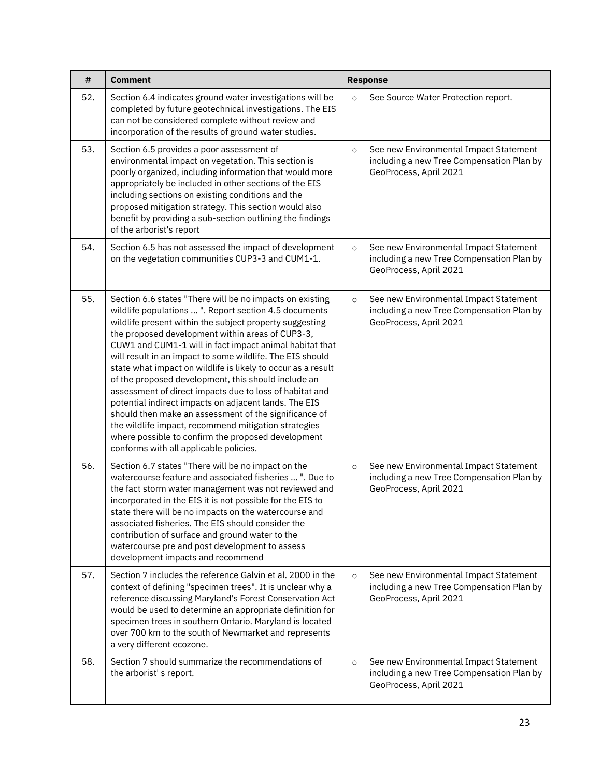| #   | <b>Comment</b>                                                                                                                                                                                                                                                                                                                                                                                                                                                                                                                                                                                                                                                                                                                                                                                                       |         | <b>Response</b>                                                                                               |
|-----|----------------------------------------------------------------------------------------------------------------------------------------------------------------------------------------------------------------------------------------------------------------------------------------------------------------------------------------------------------------------------------------------------------------------------------------------------------------------------------------------------------------------------------------------------------------------------------------------------------------------------------------------------------------------------------------------------------------------------------------------------------------------------------------------------------------------|---------|---------------------------------------------------------------------------------------------------------------|
| 52. | Section 6.4 indicates ground water investigations will be<br>completed by future geotechnical investigations. The EIS<br>can not be considered complete without review and<br>incorporation of the results of ground water studies.                                                                                                                                                                                                                                                                                                                                                                                                                                                                                                                                                                                  | $\circ$ | See Source Water Protection report.                                                                           |
| 53. | Section 6.5 provides a poor assessment of<br>environmental impact on vegetation. This section is<br>poorly organized, including information that would more<br>appropriately be included in other sections of the EIS<br>including sections on existing conditions and the<br>proposed mitigation strategy. This section would also<br>benefit by providing a sub-section outlining the findings<br>of the arborist's report                                                                                                                                                                                                                                                                                                                                                                                         | $\circ$ | See new Environmental Impact Statement<br>including a new Tree Compensation Plan by<br>GeoProcess, April 2021 |
| 54. | Section 6.5 has not assessed the impact of development<br>on the vegetation communities CUP3-3 and CUM1-1.                                                                                                                                                                                                                                                                                                                                                                                                                                                                                                                                                                                                                                                                                                           | $\circ$ | See new Environmental Impact Statement<br>including a new Tree Compensation Plan by<br>GeoProcess, April 2021 |
| 55. | Section 6.6 states "There will be no impacts on existing<br>wildlife populations  ". Report section 4.5 documents<br>wildlife present within the subject property suggesting<br>the proposed development within areas of CUP3-3,<br>CUW1 and CUM1-1 will in fact impact animal habitat that<br>will result in an impact to some wildlife. The EIS should<br>state what impact on wildlife is likely to occur as a result<br>of the proposed development, this should include an<br>assessment of direct impacts due to loss of habitat and<br>potential indirect impacts on adjacent lands. The EIS<br>should then make an assessment of the significance of<br>the wildlife impact, recommend mitigation strategies<br>where possible to confirm the proposed development<br>conforms with all applicable policies. | $\circ$ | See new Environmental Impact Statement<br>including a new Tree Compensation Plan by<br>GeoProcess, April 2021 |
| 56. | Section 6.7 states "There will be no impact on the<br>watercourse feature and associated fisheries  ". Due to<br>the fact storm water management was not reviewed and<br>incorporated in the EIS it is not possible for the EIS to<br>state there will be no impacts on the watercourse and<br>associated fisheries. The EIS should consider the<br>contribution of surface and ground water to the<br>watercourse pre and post development to assess<br>development impacts and recommend                                                                                                                                                                                                                                                                                                                           | $\circ$ | See new Environmental Impact Statement<br>including a new Tree Compensation Plan by<br>GeoProcess, April 2021 |
| 57. | Section 7 includes the reference Galvin et al. 2000 in the<br>context of defining "specimen trees". It is unclear why a<br>reference discussing Maryland's Forest Conservation Act<br>would be used to determine an appropriate definition for<br>specimen trees in southern Ontario. Maryland is located<br>over 700 km to the south of Newmarket and represents<br>a very different ecozone.                                                                                                                                                                                                                                                                                                                                                                                                                       | $\circ$ | See new Environmental Impact Statement<br>including a new Tree Compensation Plan by<br>GeoProcess, April 2021 |
| 58. | Section 7 should summarize the recommendations of<br>the arborist's report.                                                                                                                                                                                                                                                                                                                                                                                                                                                                                                                                                                                                                                                                                                                                          | $\circ$ | See new Environmental Impact Statement<br>including a new Tree Compensation Plan by<br>GeoProcess, April 2021 |